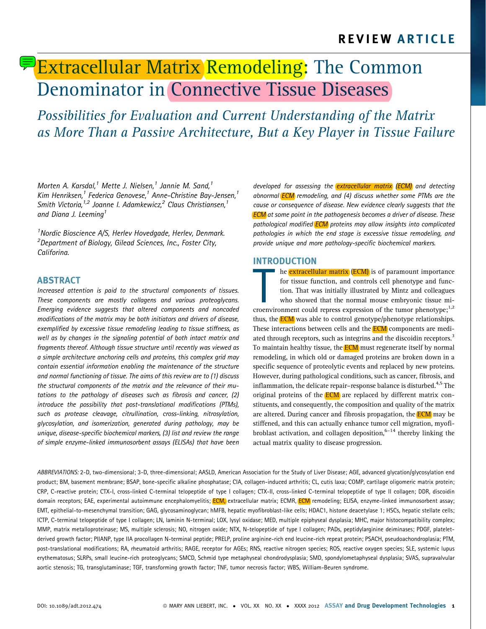# **Extracellular Matrix Remodeling: The Common** Denominator in Connective Tissue Diseases

Possibilities for Evaluation and Current Understanding of the Matrix as More Than a Passive Architecture, But a Key Player in Tissue Failure

Morten A. Karsdal, $1$  Mette J. Nielsen, $1$  Jannie M. Sand, $1$ Kim Henriksen, $1$  Federica Genovese, $1$  Anne-Christine Bay-Jensen, $1$ Smith Victoria, $1/2$  Joanne I. Adamkewicz, $2$  Claus Christiansen, $1/2$ and Diana J. Leeming<sup>1</sup>

<sup>1</sup> Nordic Bioscience A/S, Herlev Hovedgade, Herlev, Denmark. <sup>2</sup>Department of Biology, Gilead Sciences, Inc., Foster City, Califorina.

## ABSTRACT

Increased attention is paid to the structural components of tissues. These components are mostly collagens and various proteoglycans. Emerging evidence suggests that altered components and noncoded modifications of the matrix may be both initiators and drivers of disease, exemplified by excessive tissue remodeling leading to tissue stiffness, as well as by changes in the signaling potential of both intact matrix and fragments thereof. Although tissue structure until recently was viewed as a simple architecture anchoring cells and proteins, this complex grid may contain essential information enabling the maintenance of the structure and normal functioning of tissue. The aims of this review are to (1) discuss the structural components of the matrix and the relevance of their mutations to the pathology of diseases such as fibrosis and cancer, (2) introduce the possibility that post-translational modifications (PTMs), such as protease cleavage, citrullination, cross-linking, nitrosylation, glycosylation, and isomerization, generated during pathology, may be unique, disease-specific biochemical markers, (3) list and review the range of simple enzyme-linked immunosorbent assays (ELISAs) that have been developed for assessing the **extracellular matrix (ECM)** and detecting abnormal **ECM** remodeling, and (4) discuss whether some PTMs are the cause or consequence of disease. New evidence clearly suggests that the **ECM** at some point in the pathogenesis becomes a driver of disease. These pathological modified **ECM** proteins may allow insights into complicated pathologies in which the end stage is excessive tissue remodeling, and provide unique and more pathology-specific biochemical markers.

## INTRODUCTION

The extracellular matrix (ECM) is of paramount importance<br>for tissue function, and controls cell phenotype and func-<br>tion. That was initially illustrated by Mintz and colleagues<br>who showed that the normal mouse embryonic t he **extracellular matrix** (**ECM**) is of paramount importance for tissue function, and controls cell phenotype and function. That was initially illustrated by Mintz and colleagues who showed that the normal mouse embryonic tissue mithus, the **ECM** was able to control genotype/phenotype relationships. These interactions between cells and the **ECM** components are mediated through receptors, such as integrins and the discoidin receptors.<sup>3</sup> To maintain healthy tissue, the **ECM** must regenerate itself by normal remodeling, in which old or damaged proteins are broken down in a specific sequence of proteolytic events and replaced by new proteins. However, during pathological conditions, such as cancer, fibrosis, and inflammation, the delicate repair–response balance is disturbed.<sup>4,5</sup> The original proteins of the **ECM** are replaced by different matrix constituents, and consequently, the composition and quality of the matrix are altered. During cancer and fibrosis propagation, the **ECM** may be stiffened, and this can actually enhance tumor cell migration, myofibroblast activation, and collagen deposition, $6-14$  thereby linking the actual matrix quality to disease progression.

ABBREVIATIONS: 2-D, two-dimensional; 3-D, three-dimensional; AASLD, American Association for the Study of Liver Disease; AGE, advanced glycation/glycosylation end product; BM, basement membrane; BSAP, bone-specific alkaline phosphatase; CIA, collagen-induced arthritis; CL, cutis laxa; COMP, cartilage oligomeric matrix protein; CRP, C-reactive protein; CTX-I, cross-linked C-terminal telopeptide of type I collagen; CTX-II, cross-linked C-terminal telopeptide of type II collagen; DDR, discoidin domain receptors; EAE, experimental autoimmune encephalomyelitis; ECM, extracellular matrix; ECMR, ECM remodeling; ELISA, enzyme-linked immunosorbent assay; EMT, epithelial-to-mesenchymal transition; GAG, glycosaminoglycan; hMFB, hepatic myofibroblast-like cells; HDAC1, histone deacetylase 1; HSCs, hepatic stellate cells; ICTP, C-terminal telopeptide of type I collagen; LN, laminin N-terminal; LOX, lysyl oxidase; MED, multiple epiphyseal dysplasia; MHC, major histocompatibility complex; MMP, matrix metalloproteinase; MS, multiple sclerosis; NO, nitrogen oxide; NTX, N-telopeptide of type I collagen; PADs, peptidylarginine deiminases; PDGF, plateletderived growth factor; PIIANP, type IIA procollagen N-terminal peptide; PRELP, proline arginine-rich end leucine-rich repeat protein; PSACH, pseudoachondroplasia; PTM, post-translational modifications; RA, rheumatoid arthritis; RAGE, receptor for AGEs; RNS, reactive nitrogen species; ROS, reactive oxygen species; SLE, systemic lupus erythematosus; SLRPs, small leucine-rich proteoglycans; SMCD, Schmid type metaphyseal chondrodysplasia; SMD, spondylometaphyseal dysplasia; SVAS, supravalvular aortic stenosis; TG, transglutaminase; TGF, transforming growth factor; TNF, tumor necrosis factor; WBS, William-Beuren syndrome.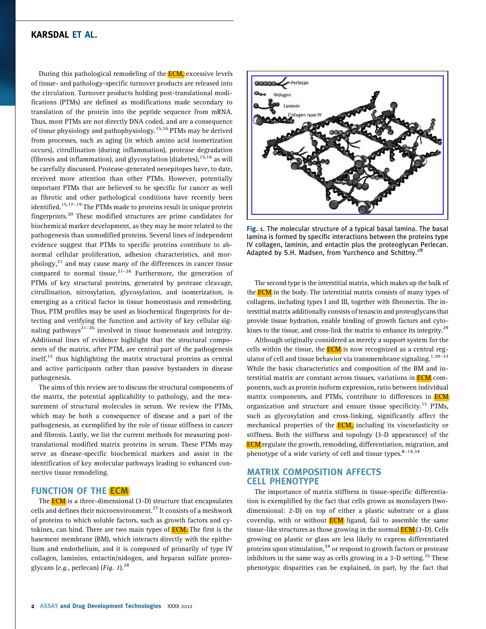During this pathological remodeling of the **ECM**, excessive levels of tissue- and pathology-specific turnover products are released into the circulation. Turnover products holding post-translational modifications (PTMs) are defined as modifications made secondary to translation of the protein into the peptide sequence from mRNA. Thus, most PTMs are not directly DNA coded, and are a consequence of tissue physiology and pathophysiology.<sup>15,16</sup> PTMs may be derived from processes, such as aging (in which amino acid isomerization occurs), citrullination (during inflammation), protease degradation (fibrosis and inflammation), and glycosylation (diabetes),  $15,16$  as will be carefully discussed. Protease-generated neoepitopes have, to date, received more attention than other PTMs. However, potentially important PTMs that are believed to be specific for cancer as well as fibrotic and other pathological conditions have recently been identified.<sup>15,17-19</sup> The PTMs made to proteins result in unique protein fingerprints.<sup>20</sup> These modified structures are prime candidates for biochemical marker development, as they may be more related to the pathogenesis than unmodified proteins. Several lines of independent evidence suggest that PTMs to specific proteins contribute to abnormal cellular proliferation, adhesion characteristics, and morphology, $^{21}$  and may cause many of the differences in cancer tissue compared to normal tissue.<sup>21–26</sup> Furthermore, the generation of PTMs of key structural proteins, generated by protease cleavage, citrullination, nitrosylation, glycosylation, and isomerization, is emerging as a critical factor in tissue homeostasis and remodeling. Thus, PTM profiles may be used as biochemical fingerprints for detecting and verifying the function and activity of key cellular signaling pathways<sup>21–26</sup> involved in tissue homeostasis and integrity. Additional lines of evidence highlight that the structural components of the matrix, after PTM, are central part of the pathogenesis itself, $15$  thus highlighting the matrix structural proteins as central and active participants rather than passive bystanders in disease pathogenesis.

The aims of this review are to discuss the structural components of the matrix, the potential applicability to pathology, and the measurement of structural molecules in serum. We review the PTMs, which may be both a consequence of disease and a part of the pathogenesis, as exemplified by the role of tissue stiffness in cancer and fibrosis. Lastly, we list the current methods for measuring posttranslational modified matrix proteins in serum. These PTMs may serve as disease-specific biochemical markers and assist in the identification of key molecular pathways leading to enhanced connective tissue remodeling.

#### FUNCTION OF THE **ECM**

The **ECM** is a three-dimensional (3-D) structure that encapsulates cells and defines their microenvironment.<sup>27</sup> It consists of a meshwork of proteins to which soluble factors, such as growth factors and cytokines, can bind. There are two main types of **ECM**. The first is the basement membrane (BM), which interacts directly with the epithelium and endothelium, and it is composed of primarily of type IV collagen, laminins, entactin/nidogen, and heparan sulfate proteoglycans (e.g., perlecan) (Fig.  $1$ ).<sup>28</sup>



Fig. 1. The molecular structure of a typical basal lamina. The basal lamina is formed by specific interactions between the proteins type IV collagen, laminin, and entactin plus the proteoglycan Perlecan. Adapted by S.H. Madsen, from Yurchenco and Schittny.<sup>28</sup>

The second type is the interstitial matrix, which makes up the bulk of the **ECM** in the body. The interstitial matrix consists of many types of collagens, including types I and III, together with fibronectin. The interstitial matrix additionally consists of tenascin and proteoglycans that provide tissue hydration, enable binding of growth factors and cytokines to the tissue, and cross-link the matrix to enhance its integrity.<sup>29</sup>

Although originally considered as merely a support system for the cells within the tissue, the **ECM** is now recognized as a central regulator of cell and tissue behavior via transmembrane signaling.<sup>1,30–33</sup> While the basic characteristics and composition of the BM and interstitial matrix are constant across tissues, variations in **ECM** components, such as protein isoform expression, ratio between individual matrix components, and PTMs, contribute to differences in **ECM** organization and structure and ensure tissue specificity.<sup>15</sup> PTMs, such as glycosylation and cross-linking, significantly affect the mechanical properties of the ECM, including its viscoelasticity or stiffness. Both the stiffness and topology (3-D appearance) of the ECM regulate the growth, remodeling, differentiation, migration, and phenotype of a wide variety of cell and tissue types. $8-14,34$ 

## MATRIX COMPOSITION AFFECTS CELL PHENOTYPE

The importance of matrix stiffness in tissue-specific differentiation is exemplified by the fact that cells grown as monolayers (twodimensional: 2-D) on top of either a plastic substrate or a glass coverslip, with or without  $ECM$  ligand, fail to assemble the same tissue-like structures as those growing in the normal ECM (3-D). Cells growing on plastic or glass are less likely to express differentiated proteins upon stimulation,  $34$  or respond to growth factors or protease inhibitors in the same way as cells growing in a  $3-D$  setting.<sup>35</sup> These phenotypic disparities can be explained, in part, by the fact that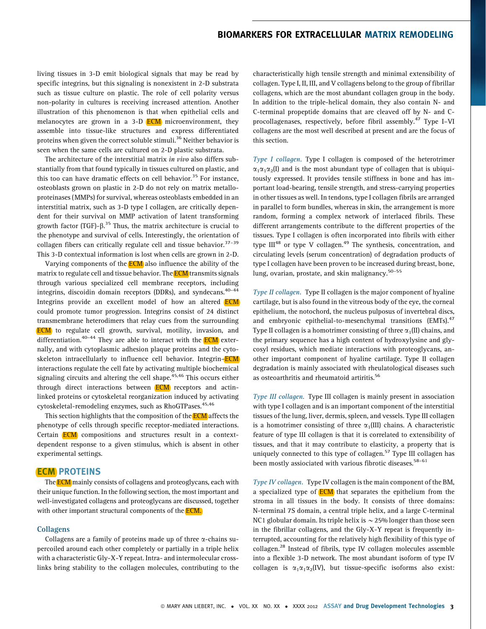living tissues in 3-D emit biological signals that may be read by specific integrins, but this signaling is nonexistent in 2-D substrata such as tissue culture on plastic. The role of cell polarity versus non-polarity in cultures is receiving increased attention. Another illustration of this phenomenon is that when epithelial cells and melanocytes are grown in a 3-D **ECM** microenvironment, they assemble into tissue-like structures and express differentiated proteins when given the correct soluble stimuli.<sup>36</sup> Neither behavior is seen when the same cells are cultured on 2-D plastic substrata.

The architecture of the interstitial matrix in vivo also differs substantially from that found typically in tissues cultured on plastic, and this too can have dramatic effects on cell behavior.<sup>35</sup> For instance, osteoblasts grown on plastic in 2-D do not rely on matrix metalloproteinases (MMPs) for survival, whereas osteoblasts embedded in an interstitial matrix, such as 3-D type I collagen, are critically dependent for their survival on MMP activation of latent transforming growth factor (TGF)- $\beta$ .<sup>35</sup> Thus, the matrix architecture is crucial to the phenotype and survival of cells. Interestingly, the orientation of collagen fibers can critically regulate cell and tissue behavior. $37-39$ This 3-D contextual information is lost when cells are grown in 2-D.

Varying components of the **ECM** also influence the ability of the matrix to regulate cell and tissue behavior. The **ECM** transmits signals through various specialized cell membrane receptors, including integrins, discoidin domain receptors (DDRs), and syndecans.<sup>40-44</sup> Integrins provide an excellent model of how an altered **ECM** could promote tumor progression. Integrins consist of 24 distinct transmembrane heterodimers that relay cues from the surrounding ECM to regulate cell growth, survival, motility, invasion, and differentiation.<sup>40–44</sup> They are able to interact with the **ECM** externally, and with cytoplasmic adhesion plaque proteins and the cytoskeleton intracellularly to influence cell behavior. Integrin-ECM interactions regulate the cell fate by activating multiple biochemical signaling circuits and altering the cell shape. $45,46$  This occurs either through direct interactions between **ECM** receptors and actinlinked proteins or cytoskeletal reorganization induced by activating cytoskeletal-remodeling enzymes, such as RhoGTPases.<sup>45,46</sup>

This section highlights that the composition of the **ECM** affects the phenotype of cells through specific receptor-mediated interactions. Certain **ECM** compositions and structures result in a contextdependent response to a given stimulus, which is absent in other experimental settings.

## ECM PROTEINS

The **ECM** mainly consists of collagens and proteoglycans, each with their unique function. In the following section, the most important and well-investigated collagens and proteoglycans are discussed, together with other important structural components of the **ECM**.

#### Collagens

Collagens are a family of proteins made up of three  $\alpha$ -chains supercoiled around each other completely or partially in a triple helix with a characteristic Gly-X-Y repeat. Intra- and intermolecular crosslinks bring stability to the collagen molecules, contributing to the characteristically high tensile strength and minimal extensibility of collagen. Type I, II, III, and V collagens belong to the group of fibrillar collagens, which are the most abundant collagen group in the body. In addition to the triple-helical domain, they also contain N- and C-terminal propeptide domains that are cleaved off by N- and Cprocollagenases, respectively, before fibril assembly.<sup>47</sup> Type I–VI collagens are the most well described at present and are the focus of this section.

Type I collagen. Type I collagen is composed of the heterotrimer  $\alpha_1\alpha_2$ (I) and is the most abundant type of collagen that is ubiquitously expressed. It provides tensile stiffness in bone and has important load-bearing, tensile strength, and stress-carrying properties in other tissues as well. In tendons, type I collagen fibrils are arranged in parallel to form bundles, whereas in skin, the arrangement is more random, forming a complex network of interlaced fibrils. These different arrangements contribute to the different properties of the tissues. Type I collagen is often incorporated into fibrils with either type  $III^{48}$  or type V collagen.<sup>49</sup> The synthesis, concentration, and circulating levels (serum concentration) of degradation products of type I collagen have been proven to be increased during breast, bone, lung, ovarian, prostate, and skin malignancy. $50-55$ 

Type II collagen. Type II collagen is the major component of hyaline cartilage, but is also found in the vitreous body of the eye, the corneal epithelium, the notochord, the nucleus pulposus of invertebral discs, and embryonic epithelial-to-mesenchymal transitions (EMTs).<sup>47</sup> Type II collagen is a homotrimer consisting of three  $\alpha_1(II)$  chains, and the primary sequence has a high content of hydroxylysine and glycosyl residues, which mediate interactions with proteoglycans, another important component of hyaline cartilage. Type II collagen degradation is mainly associated with rheulatological diseases such as osteoarthritis and rheumatoid artiritis.<sup>56</sup>

Type III collagen. Type III collagen is mainly present in association with type I collagen and is an important component of the interstitial tissues of the lung, liver, dermis, spleen, and vessels. Type III collagen is a homotrimer consisting of three  $\alpha_1(III)$  chains. A characteristic feature of type III collagen is that it is correlated to extensibility of tissues, and that it may contribute to elasticity, a property that is uniquely connected to this type of collagen.<sup>57</sup> Type III collagen has been mostly assiociated with various fibrotic diseases.<sup>58-61</sup>

Type IV collagen. Type IV collagen is the main component of the BM, a specialized type of **ECM** that separates the epithelium from the stroma in all tissues in the body. It consists of three domains: N-terminal 7S domain, a central triple helix, and a large C-terminal NC1 globular domain. Its triple helix is  $\sim$  25% longer than those seen in the fibrillar collagens, and the Gly-X-Y repeat is frequently interrupted, accounting for the relatively high flexibility of this type of collagen.<sup>28</sup> Instead of fibrils, type IV collagen molecules assemble into a flexible 3-D network. The most abundant isoform of type IV collagen is  $\alpha_1\alpha_1\alpha_2$ (IV), but tissue-specific isoforms also exist: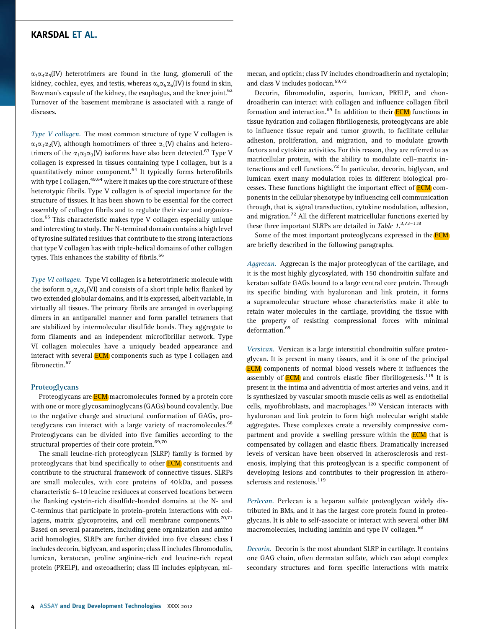$\alpha_3\alpha_4\alpha_5$ (IV) heterotrimers are found in the lung, glomeruli of the kidney, cochlea, eyes, and testis, whereas  $\alpha_5 \alpha_6$ (IV) is found in skin, Bowman's capsule of the kidney, the esophagus, and the knee joint.<sup>62</sup> Turnover of the basement membrane is associated with a range of diseases.

Type V collagen. The most common structure of type V collagen is  $\alpha_1\alpha_2(V)$ , although homotrimers of three  $\alpha_1(V)$  chains and heterotrimers of the  $\alpha_1\alpha_2\alpha_3(V)$  isoforms have also been detected.<sup>63</sup> Type V collagen is expressed in tissues containing type I collagen, but is a quantitatively minor component.<sup>64</sup> It typically forms heterofibrils with type I collagen, <sup>49,64</sup> where it makes up the core structure of these heterotypic fibrils. Type V collagen is of special importance for the structure of tissues. It has been shown to be essential for the correct assembly of collagen fibrils and to regulate their size and organization. $65$  This characteristic makes type V collagen especially unique and interesting to study. The N-terminal domain contains a high level of tyrosine sulfated residues that contribute to the strong interactions that type V collagen has with triple-helical domains of other collagen types. This enhances the stability of fibrils.<sup>66</sup>

Type VI collagen. Type VI collagen is a heterotrimeric molecule with the isoform  $\alpha_1\alpha_2\alpha_3(VI)$  and consists of a short triple helix flanked by two extended globular domains, and it is expressed, albeit variable, in virtually all tissues. The primary fibrils are arranged in overlapping dimers in an antiparallel manner and form parallel tetramers that are stabilized by intermolecular disulfide bonds. They aggregate to form filaments and an independent microfibrillar network. Type VI collagen molecules have a uniquely beaded appearance and interact with several **ECM** components such as type I collagen and fibronectin.<sup>67</sup>

#### **Proteoglycans**

Proteoglycans are **ECM** macromolecules formed by a protein core with one or more glycosaminoglycans (GAGs) bound covalently. Due to the negative charge and structural conformation of GAGs, proteoglycans can interact with a large variety of macromolecules.<sup>68</sup> Proteoglycans can be divided into five families according to the structural properties of their core protein.<sup>69,70</sup>

The small leucine-rich proteoglycan (SLRP) family is formed by proteoglycans that bind specifically to other **ECM** constituents and contribute to the structural framework of connective tissues. SLRPs are small molecules, with core proteins of 40 kDa, and possess characteristic 6–10 leucine residuces at conserved locations between the flanking cystein-rich disulfide-bonded domains at the N- and C-terminus that participate in protein–protein interactions with collagens, matrix glycoproteins, and cell membrane components.<sup>70,71</sup> Based on several parameters, including gene organization and amino acid homologies, SLRPs are further divided into five classes: class I includes decorin, biglycan, and asporin; class II includes fibromodulin, lumican, keratocan, proline arginine-rich end leucine-rich repeat protein (PRELP), and osteoadherin; class III includes epiphycan, mimecan, and opticin; class IV includes chondroadherin and nyctalopin; and class V includes podocan.<sup>69,72</sup>

Decorin, fibromodulin, asporin, lumican, PRELP, and chondroadherin can interact with collagen and influence collagen fibril formation and interaction. $69$  In addition to their **ECM** functions in tissue hydration and collagen fibrillogenesis, proteoglycans are able to influence tissue repair and tumor growth, to facilitate cellular adhesion, proliferation, and migration, and to modulate growth factors and cytokine activities. For this reason, they are referred to as matricellular protein, with the ability to modulate cell–matrix interactions and cell functions.<sup>72</sup> In particular, decorin, biglycan, and lumican exert many modulation roles in different biological processes. These functions highlight the important effect of ECM components in the cellular phenotype by influencing cell communication through, that is, signal transduction, cytokine modulation, adhesion, and migration.<sup>72</sup> All the different matricellular functions exerted by these three important SLRPs are detailed in Table  $1.^{3,73-118}$ 

Some of the most important proteoglycans expressed in the **ECM** are briefly described in the following paragraphs.

Aggrecan. Aggrecan is the major proteoglycan of the cartilage, and it is the most highly glycosylated, with 150 chondroitin sulfate and keratan sulfate GAGs bound to a large central core protein. Through its specific binding with hyaluronan and link protein, it forms a supramolecular structure whose characteristics make it able to retain water molecules in the cartilage, providing the tissue with the property of resisting compressional forces with minimal deformation.<sup>69</sup>

Versican. Versican is a large interstitial chondroitin sulfate proteoglycan. It is present in many tissues, and it is one of the principal ECM components of normal blood vessels where it influences the assembly of  $ECM$  and controls elastic fiber fibrillogenesis.<sup>119</sup> It is present in the intima and adventitia of most arteries and veins, and it is synthesized by vascular smooth muscle cells as well as endothelial cells, myofibroblasts, and macrophages.<sup>120</sup> Versican interacts with hyaluronan and link protein to form high molecular weight stable aggregates. These complexes create a reversibly compressive compartment and provide a swelling pressure within the **ECM** that is compensated by collagen and elastic fibers. Dramatically increased levels of versican have been observed in atherosclerosis and restenosis, implying that this proteoglycan is a specific component of developing lesions and contributes to their progression in atherosclerosis and restenosis.<sup>119</sup>

Perlecan. Perlecan is a heparan sulfate proteoglycan widely distributed in BMs, and it has the largest core protein found in proteoglycans. It is able to self-associate or interact with several other BM macromolecules, including laminin and type IV collagen.<sup>68</sup>

Decorin. Decorin is the most abundant SLRP in cartilage. It contains one GAG chain, often dermatan sulfate, which can adopt complex secondary structures and form specific interactions with matrix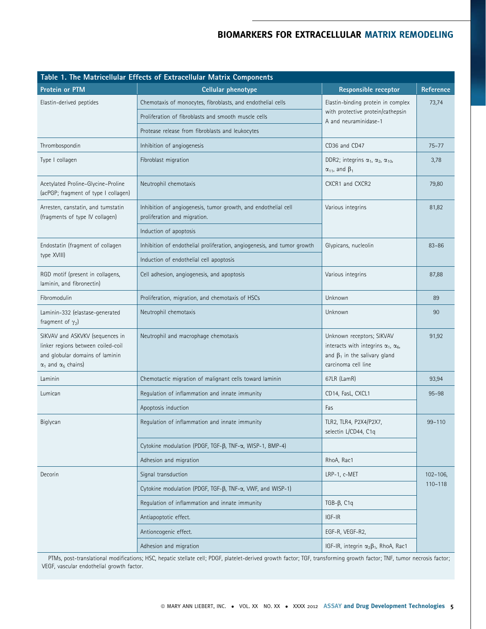| Table 1. The Matricellular Effects of Extracellular Matrix Components                                                                         |                                                                                                |                                                                                                                                               |                            |  |  |  |  |  |
|-----------------------------------------------------------------------------------------------------------------------------------------------|------------------------------------------------------------------------------------------------|-----------------------------------------------------------------------------------------------------------------------------------------------|----------------------------|--|--|--|--|--|
| Protein or PTM                                                                                                                                | <b>Cellular phenotype</b>                                                                      | <b>Responsible receptor</b>                                                                                                                   | Reference                  |  |  |  |  |  |
| Elastin-derived peptides                                                                                                                      | Chemotaxis of monocytes, fibroblasts, and endothelial cells                                    | Elastin-binding protein in complex                                                                                                            | 73,74                      |  |  |  |  |  |
|                                                                                                                                               | Proliferation of fibroblasts and smooth muscle cells                                           | with protective protein/cathepsin<br>A and neuraminidase-1                                                                                    |                            |  |  |  |  |  |
|                                                                                                                                               | Protease release from fibroblasts and leukocytes                                               |                                                                                                                                               |                            |  |  |  |  |  |
| Thrombospondin                                                                                                                                | Inhibition of angiogenesis                                                                     | CD36 and CD47                                                                                                                                 | $75 - 77$                  |  |  |  |  |  |
| Type I collagen                                                                                                                               | Fibroblast migration                                                                           | DDR2; integrins $\alpha_1$ , $\alpha_2$ , $\alpha_{10}$ ,<br>$\alpha_{11}$ , and $\beta_1$                                                    | 3,78                       |  |  |  |  |  |
| Acetylated Proline-Glycine-Proline<br>(acPGP; fragment of type I collagen)                                                                    | Neutrophil chemotaxis                                                                          | CXCR1 and CXCR2                                                                                                                               | 79,80                      |  |  |  |  |  |
| Arresten, canstatin, and tumstatin<br>(fragments of type IV collagen)                                                                         | Inhibition of angiogenesis, tumor growth, and endothelial cell<br>proliferation and migration. | Various integrins                                                                                                                             | 81,82                      |  |  |  |  |  |
|                                                                                                                                               | Induction of apoptosis                                                                         |                                                                                                                                               |                            |  |  |  |  |  |
| Endostatin (fragment of collagen                                                                                                              | Inhibition of endothelial proliferation, angiogenesis, and tumor growth                        | Glypicans, nucleolin                                                                                                                          | $83 - 86$                  |  |  |  |  |  |
| type XVIII)                                                                                                                                   | Induction of endothelial cell apoptosis                                                        |                                                                                                                                               |                            |  |  |  |  |  |
| RGD motif (present in collagens,<br>laminin, and fibronectin)                                                                                 | Cell adhesion, angiogenesis, and apoptosis                                                     | Various integrins                                                                                                                             | 87,88                      |  |  |  |  |  |
| Fibromodulin                                                                                                                                  | Proliferation, migration, and chemotaxis of HSCs                                               | Unknown                                                                                                                                       | 89                         |  |  |  |  |  |
| Laminin-332 (elastase-generated<br>fragment of $\gamma_2$ )                                                                                   | Neutrophil chemotaxis                                                                          | Unknown                                                                                                                                       | 90                         |  |  |  |  |  |
| SIKVAV and ASKVKV (sequences in<br>linker regions between coiled-coil<br>and globular domains of laminin<br>$\alpha_1$ and $\alpha_5$ chains) | Neutrophil and macrophage chemotaxis                                                           | Unknown receptors; SIKVAV<br>interacts with integrins $\alpha_1$ , $\alpha_6$ ,<br>and $\beta_1$ in the salivary gland<br>carcinoma cell line | 91,92                      |  |  |  |  |  |
| Laminin                                                                                                                                       | Chemotactic migration of malignant cells toward laminin                                        | 67LR (LamR)                                                                                                                                   | 93,94                      |  |  |  |  |  |
| Lumican                                                                                                                                       | Regulation of inflammation and innate immunity                                                 | CD14, FasL, CXCL1                                                                                                                             | $95 - 98$                  |  |  |  |  |  |
|                                                                                                                                               | Apoptosis induction                                                                            | Fas                                                                                                                                           |                            |  |  |  |  |  |
| Biglycan                                                                                                                                      | Regulation of inflammation and innate immunity                                                 | TLR2, TLR4, P2X4/P2X7,<br>selectin L/CD44, C1q                                                                                                | $99 - 110$                 |  |  |  |  |  |
|                                                                                                                                               | Cytokine modulation (PDGF, TGF-β, TNF-α, WISP-1, BMP-4)                                        |                                                                                                                                               |                            |  |  |  |  |  |
|                                                                                                                                               | Adhesion and migration                                                                         | RhoA, Rac1                                                                                                                                    |                            |  |  |  |  |  |
| Decorin                                                                                                                                       | Signal transduction                                                                            | LRP-1, c-MET                                                                                                                                  | $102 - 106$<br>$110 - 118$ |  |  |  |  |  |
|                                                                                                                                               | Cytokine modulation (PDGF, TGF- $\beta$ , TNF- $\alpha$ , VWF, and WISP-1)                     |                                                                                                                                               |                            |  |  |  |  |  |
|                                                                                                                                               | Regulation of inflammation and innate immunity                                                 | TGB- $\beta$ , C <sub>1q</sub>                                                                                                                |                            |  |  |  |  |  |
|                                                                                                                                               | Antiapoptotic effect.                                                                          | IGF-IR                                                                                                                                        |                            |  |  |  |  |  |
|                                                                                                                                               | Antioncogenic effect.                                                                          | EGF-R, VEGF-R2,                                                                                                                               |                            |  |  |  |  |  |
|                                                                                                                                               | Adhesion and migration                                                                         | IGF-IR, integrin $\alpha_2\beta_1$ , RhoA, Rac1                                                                                               |                            |  |  |  |  |  |

PTMs, post-translational modifications; HSC, hepatic stellate cell; PDGF, platelet-derived growth factor; TGF, transforming growth factor; TNF, tumor necrosis factor; VEGF, vascular endothelial growth factor.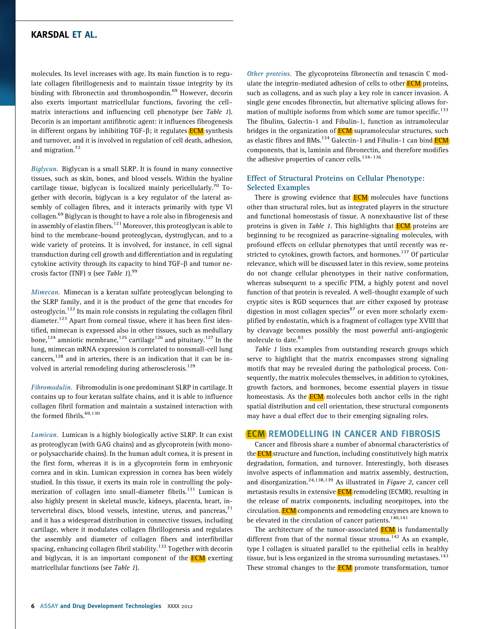molecules. Its level increases with age. Its main function is to regulate collagen fibrillogenesis and to maintain tissue integrity by its binding with fibronectin and thrombospondin.<sup>69</sup> However, decorin also exerts important matricellular functions, favoring the cell– matrix interactions and influencing cell phenotype (see Table 1). Decorin is an important antifibrotic agent: it influences fibrogenesis in different organs by inhibiting TGF- $\beta$ ; it regulates **ECM** synthesis and turnover, and it is involved in regulation of cell death, adhesion, and migration.<sup>72</sup>

Biglycan. Biglycan is a small SLRP. It is found in many connective tissues, such as skin, bones, and blood vessels. Within the hyaline cartilage tissue, biglycan is localized mainly pericellularly.<sup>70</sup> Together with decorin, biglycan is a key regulator of the lateral assembly of collagen fibres, and it interacts primarily with type VI collagen.<sup>69</sup> Biglycan is thought to have a role also in fibrogenesis and in assembly of elastin fibers. $121$  Moreover, this proteoglycan is able to bind to the membrane-bound proteoglycan, dystroglycan, and to a wide variety of proteins. It is involved, for instance, in cell signal transduction during cell growth and differentiation and in regulating cytokine activity through its capacity to bind  $TGF-\beta$  and tumor necrosis factor (TNF)  $\alpha$  (see Table 1).<sup>99</sup>

Mimecan. Mimecan is a keratan sulfate proteoglycan belonging to the SLRP family, and it is the product of the gene that encodes for osteoglycin.<sup>122</sup> Its main role consists in regulating the collagen fibril diameter.<sup>123</sup> Apart from corneal tissue, where it has been first identified, mimecan is expressed also in other tissues, such as medullary bone,<sup>124</sup> amniotic membrane,<sup>125</sup> cartilage<sup>126</sup> and pituitary.<sup>127</sup> In the lung, mimecan mRNA expression is correlated to nonsmall-cell lung cancers, $128$  and in arteries, there is an indication that it can be involved in arterial remodeling during atherosclerosis.<sup>129</sup>

Fibromodulin. Fibromodulin is one predominant SLRP in cartilage. It contains up to four keratan sulfate chains, and it is able to influence collagen fibril formation and maintain a sustained interaction with the formed fibrils.<sup>69,130</sup>

Lumican. Lumican is a highly biologically active SLRP. It can exist as proteoglycan (with GAG chains) and as glycoprotein (with monoor polysaccharide chains). In the human adult cornea, it is present in the first form, whereas it is in a glycoprotein form in embryonic cornea and in skin. Lumican expression in cornea has been widely studied. In this tissue, it exerts its main role in controlling the polymerization of collagen into small-diameter fibrils. $131$  Lumican is also highly present in skeletal muscle, kidneys, placenta, heart, intervertebral discs, blood vessels, intestine, uterus, and pancreas, $71$ and it has a widespread distribution in connective tissues, including cartilage, where it modulates collagen fibrillogenesis and regulates the assembly and diameter of collagen fibers and interfibrillar spacing, enhancing collagen fibril stability.<sup>132</sup> Together with decorin and biglycan, it is an important component of the **ECM** exerting matricellular functions (see Table 1).

Other proteins. The glycoproteins fibronectin and tenascin C modulate the integrin-mediated adhesion of cells to other **ECM** proteins, such as collagens, and as such play a key role in cancer invasion. A single gene encodes fibronectin, but alternative splicing allows formation of multiple isoforms from which some are tumor specific.<sup>133</sup> The fibulins, Galectin-1 and Fibulin-1, function as intramolecular bridges in the organization of **ECM** supramolecular structures, such as elastic fibres and BMs.<sup>134</sup> Galectin-1 and Fibulin-1 can bind **ECM** components, that is, laminin and fibronectin, and therefore modifies the adhesive properties of cancer cells.<sup>134-136</sup>

## Effect of Structural Proteins on Cellular Phenotype: Selected Examples

There is growing evidence that **ECM** molecules have functions other than structural roles, but as integrated players in the structure and functional homeostasis of tissue. A nonexhaustive list of these proteins is given in Table 1. This highlights that **ECM** proteins are beginning to be recognized as paracrine-signaling molecules, with profound effects on cellular phenotypes that until recently was restricted to cytokines, growth factors, and hormones.<sup>137</sup> Of particular relevance, which will be discussed later in this review, some proteins do not change cellular phenotypes in their native conformation, whereas subsequent to a specific PTM, a highly potent and novel function of that protein is revealed. A well-thought example of such cryptic sites is RGD sequences that are either exposed by protease digestion in most collagen species $^{87}$  or even more scholarly exemplified by endostatin, which is a fragment of collagen type XVIII that by cleavage becomes possibly the most powerful anti-angiogenic molecule to date.<sup>83</sup>

Table 1 lists examples from outstanding research groups which serve to highlight that the matrix encompasses strong signaling motifs that may be revealed during the pathological process. Consequently, the matrix molecules themselves, in addition to cytokines, growth factors, and hormones, become essential players in tissue homeostasis. As the **ECM** molecules both anchor cells in the right spatial distribution and cell orientation, these structural components may have a dual effect due to their emerging signaling roles.

## ECM REMODELLING IN CANCER AND FIBROSIS

Cancer and fibrosis share a number of abnormal characteristics of the **ECM** structure and function, including constitutively high matrix degradation, formation, and turnover. Interestingly, both diseases involve aspects of inflammation and matrix assembly, destruction, and disorganization.<sup>24,138,139</sup> As illustrated in Figure 2, cancer cell metastasis results in extensive **ECM** remodeling (ECMR), resulting in the release of matrix components, including neoepitopes, into the circulation. **ECM** components and remodeling enzymes are known to be elevated in the circulation of cancer patients.<sup>140,141</sup>

The architecture of the tumor-associated **ECM** is fundamentally different from that of the normal tissue stroma.<sup>142</sup> As an example, type I collagen is situated parallel to the epithelial cells in healthy tissue, but is less organized in the stroma surrounding metastases. $143$ These stromal changes to the **ECM** promote transformation, tumor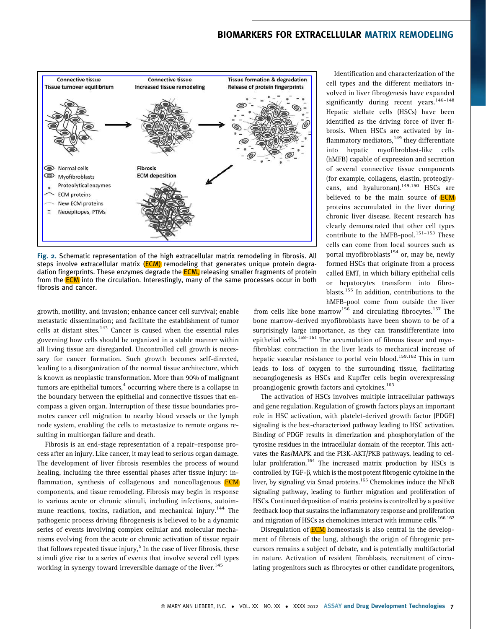

Fig. 2. Schematic representation of the high extracellular matrix remodeling in fibrosis. All steps involve extracellular matrix  $(ECM)$  remodeling that generates unique protein degradation fingerprints. These enzymes degrade the **ECM**, releasing smaller fragments of protein from the **ECM** into the circulation. Interestingly, many of the same processes occur in both fibrosis and cancer.

growth, motility, and invasion; enhance cancer cell survival; enable metastatic dissemination; and facilitate the establishment of tumor cells at distant sites.<sup>143</sup> Cancer is caused when the essential rules governing how cells should be organized in a stable manner within all living tissue are disregarded. Uncontrolled cell growth is necessary for cancer formation. Such growth becomes self-directed, leading to a disorganization of the normal tissue architecture, which is known as neoplastic transformation. More than 90% of malignant tumors are epithelial tumors, $4$  occurring where there is a collapse in the boundary between the epithelial and connective tissues that encompass a given organ. Interruption of these tissue boundaries promotes cancer cell migration to nearby blood vessels or the lymph node system, enabling the cells to metastasize to remote organs resulting in multiorgan failure and death.

Fibrosis is an end-stage representation of a repair–response process after an injury. Like cancer, it may lead to serious organ damage. The development of liver fibrosis resembles the process of wound healing, including the three essential phases after tissue injury: inflammation, synthesis of collagenous and noncollagenous **ECM** components, and tissue remodeling. Fibrosis may begin in response to various acute or chronic stimuli, including infections, autoimmune reactions, toxins, radiation, and mechanical injury.<sup>144</sup> The pathogenic process driving fibrogenesis is believed to be a dynamic series of events involving complex cellular and molecular mechanisms evolving from the acute or chronic activation of tissue repair that follows repeated tissue injury,<sup>5</sup> In the case of liver fibrosis, these stimuli give rise to a series of events that involve several cell types working in synergy toward irreversible damage of the liver.<sup>145</sup>

Identification and characterization of the cell types and the different mediators involved in liver fibrogenesis have expanded significantly during recent years.<sup>146-148</sup> Hepatic stellate cells (HSCs) have been identified as the driving force of liver fibrosis. When HSCs are activated by inflammatory mediators, $149$  they differentiate into hepatic myofibroblast-like cells (hMFB) capable of expression and secretion of several connective tissue components (for example, collagens, elastin, proteoglycans, and hyaluronan).<sup>149,150</sup> HSCs are believed to be the main source of **ECM** proteins accumulated in the liver during chronic liver disease. Recent research has clearly demonstrated that other cell types contribute to the hMFB-pool.<sup>151-153</sup> These cells can come from local sources such as portal myofibroblasts $154$  or, may be, newly formed HSCs that originate from a process called EMT, in which biliary epithelial cells or hepatocytes transform into fibroblasts.<sup>155</sup> In addition, contributions to the hMFB-pool come from outside the liver

from cells like bone marrow<sup>156</sup> and circulating fibrocytes.<sup>157</sup> The bone marrow-derived myofibroblasts have been shown to be of a surprisingly large importance, as they can transdifferentiate into epithelial cells.<sup>158–161</sup> The accumulation of fibrous tissue and myofibroblast contraction in the liver leads to mechanical increase of hepatic vascular resistance to portal vein blood.<sup>159,162</sup> This in turn leads to loss of oxygen to the surrounding tissue, facilitating neoangiogenesis as HSCs and Kupffer cells begin overexpressing proangiogenic growth factors and cytokines.<sup>163</sup>

The activation of HSCs involves multiple intracellular pathways and gene regulation. Regulation of growth factors plays an important role in HSC activation, with platelet-derived growth factor (PDGF) signaling is the best-characterized pathway leading to HSC activation. Binding of PDGF results in dimerization and phosphorylation of the tyrosine residues in the intracellular domain of the receptor. This activates the Ras/MAPK and the PI3K-AKT/PKB pathways, leading to cellular proliferation.<sup>164</sup> The increased matrix production by HSCs is controlled by TGF- $\beta$ , which is the most potent fibrogenic cytokine in the liver, by signaling via Smad proteins.<sup>165</sup> Chemokines induce the NF<sub>K</sub>B signaling pathway, leading to further migration and proliferation of HSCs. Continued deposition of matrix proteins is controlled by a positive feedback loop that sustains the inflammatory response and proliferation and migration of HSCs as chemokines interact with immune cells.<sup>166,167</sup>

Disregulation of **ECM** homeostasis is also central in the development of fibrosis of the lung, although the origin of fibrogenic precursors remains a subject of debate, and is potentially multifactorial in nature. Activation of resident fibroblasts, recruitment of circulating progenitors such as fibrocytes or other candidate progenitors,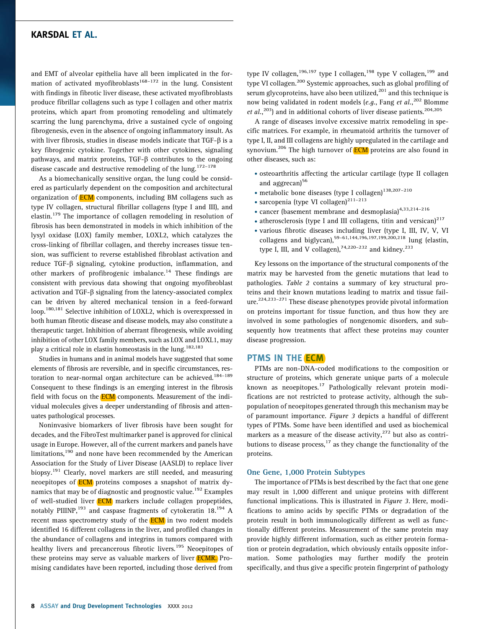and EMT of alveolar epithelia have all been implicated in the formation of activated myofibroblasts<sup>168-172</sup> in the lung. Consistent with findings in fibrotic liver disease, these activated myofibroblasts produce fibrillar collagens such as type I collagen and other matrix proteins, which apart from promoting remodeling and ultimately scarring the lung parenchyma, drive a sustained cycle of ongoing fibrogenesis, even in the absence of ongoing inflammatory insult. As with liver fibrosis, studies in disease models indicate that  $TGF-\beta$  is a key fibrogenic cytokine. Together with other cytokines, signaling pathways, and matrix proteins,  $TGF-\beta$  contributes to the ongoing disease cascade and destructive remodeling of the lung.<sup>172-178</sup>

As a biomechanically sensitive organ, the lung could be considered as particularly dependent on the composition and architectural organization of **ECM** components, including BM collagens such as type IV collagen, structural fibrillar collagens (type I and III), and elastin.<sup>179</sup> The importance of collagen remodeling in resolution of fibrosis has been demonstrated in models in which inhibition of the lysyl oxidase (LOX) family member, LOXL2, which catalyzes the cross-linking of fibrillar collagen, and thereby increases tissue tension, was sufficient to reverse established fibroblast activation and reduce TGF-b signaling, cytokine production, inflammation, and other markers of profibrogenic imbalance.<sup>14</sup> These findings are consistent with previous data showing that ongoing myofibroblast activation and TGF- $\beta$  signaling from the latency-associated complex can be driven by altered mechanical tension in a feed-forward loop.<sup>180,181</sup> Selective inhibition of LOXL2, which is overexpressed in both human fibrotic disease and disease models, may also constitute a therapeutic target. Inhibition of aberrant fibrogenesis, while avoiding inhibition of other LOX family members, such as LOX and LOXL1, may play a critical role in elastin homeostasis in the lung.<sup>182,183</sup>

Studies in humans and in animal models have suggested that some elements of fibrosis are reversible, and in specific circumstances, restoration to near-normal organ architecture can be achieved.<sup>184–189</sup> Consequent to these findings is an emerging interest in the fibrosis field with focus on the **ECM** components. Measurement of the individual molecules gives a deeper understanding of fibrosis and attenuates pathological processes.

Noninvasive biomarkers of liver fibrosis have been sought for decades, and the FibroTest multimarker panel is approved for clinical usage in Europe. However, all of the current markers and panels have limitations,<sup>190</sup> and none have been recommended by the American Association for the Study of Liver Disease (AASLD) to replace liver biopsy.<sup>191</sup> Clearly, novel markers are still needed, and measuring neoepitopes of **ECM** proteins composes a snapshot of matrix dynamics that may be of diagnostic and prognostic value.<sup>192</sup> Examples of well-studied liver **ECM** markers include collagen propeptides, notably PIIINP,<sup>193</sup> and caspase fragments of cytokeratin  $18.^{194}$  A recent mass spectrometry study of the **ECM** in two rodent models identified 16 different collagens in the liver, and profiled changes in the abundance of collagens and integrins in tumors compared with healthy livers and precancerous fibrotic livers.<sup>195</sup> Neoepitopes of these proteins may serve as valuable markers of liver **ECMR**. Promising candidates have been reported, including those derived from

type IV collagen,<sup>196,197</sup> type I collagen,<sup>198</sup> type V collagen,<sup>199</sup> and type VI collagen.<sup>200</sup> Systemic approaches, such as global profiling of serum glycoproteins, have also been utilized, $^{201}$  and this technique is now being validated in rodent models (e.g., Fang et al., <sup>202</sup> Blomme et  $al.,<sup>203</sup>$  and in additional cohorts of liver disease patients.<sup>204,205</sup>

A range of diseases involve excessive matrix remodeling in specific matrices. For example, in rheumatoid arthritis the turnover of type I, II, and III collagens are highly upregulated in the cartilage and synovium.<sup>206</sup> The high turnover of **ECM** proteins are also found in other diseases, such as:

- . osteoarthritis affecting the articular cartilage (type II collagen and aggrecan)<sup>56</sup>
- $\bullet$  metabolic bone diseases (type I collagen)<sup>138,207-210</sup>
- $\bullet$  sarcopenia (type VI collagen)<sup>211-213</sup>
- cancer (basement membrane and desmoplasia) $4,33,214-216$
- $\bullet$  atherosclerosis (type I and III collagens, titin and versican)<sup>217</sup>
- . various fibrotic diseases including liver (type I, III, IV, V, VI collagens and biglycan),<sup>59-61,144,196,197,199,200,218</sup> lung (elastin, type I, III, and V collagen),  $74,220-232$  and kidney.  $233$

Key lessons on the importance of the structural components of the matrix may be harvested from the genetic mutations that lead to pathologies. Table 2 contains a summary of key structural proteins and their known mutations leading to matrix and tissue failure.224,233–271 These disease phenotypes provide pivotal information on proteins important for tissue function, and thus how they are involved in some pathologies of nongenomic disorders, and subsequently how treatments that affect these proteins may counter disease progression.

## PTMS IN THE **ECM**

PTMs are non-DNA-coded modifications to the composition or structure of proteins, which generate unique parts of a molecule known as neoepitopes.<sup>17</sup> Pathologically relevant protein modifications are not restricted to protease activity, although the subpopulation of neoepitopes generated through this mechanism may be of paramount importance. Figure 3 depicts a handful of different types of PTMs. Some have been identified and used as biochemical markers as a measure of the disease activity, $^{272}$  but also as contributions to disease process, $17$  as they change the functionality of the proteins.

#### One Gene, 1,000 Protein Subtypes

The importance of PTMs is best described by the fact that one gene may result in 1,000 different and unique proteins with different functional implications. This is illustrated in Figure 3. Here, modifications to amino acids by specific PTMs or degradation of the protein result in both immunologically different as well as functionally different proteins. Measurement of the same protein may provide highly different information, such as either protein formation or protein degradation, which obviously entails opposite information. Some pathologies may further modify the protein specifically, and thus give a specific protein fingerprint of pathology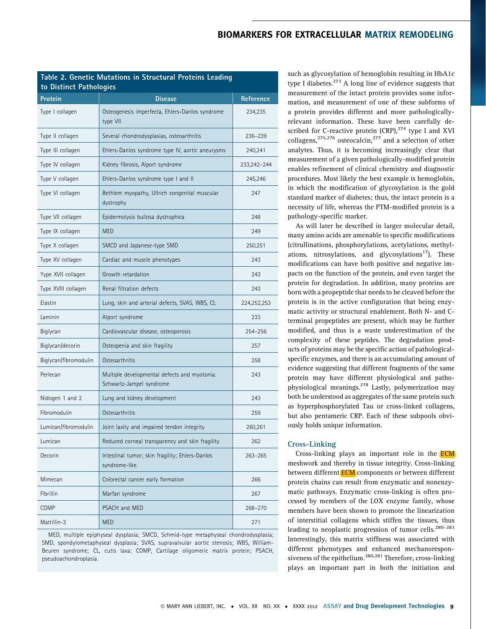| Table 2. Genetic Mutations in Structural Proteins Leading |  |
|-----------------------------------------------------------|--|
| to Distinct Pathologies                                   |  |

| Protein               | <b>Disease</b>                                                           | <b>Reference</b> |
|-----------------------|--------------------------------------------------------------------------|------------------|
| Type I collagen       | Osteogenesis imperfecta, Ehlers-Danlos syndrome<br>type VII              | 234,235          |
| Type II collagen      | Several chondrodysplasias, osteoarthritis                                | 236-239          |
| Type III collagen     | Ehlers-Danlos syndrome type IV, aortic aneurysms                         | 240,241          |
| Type IV collagen      | Kidney fibrosis, Alport syndrome                                         | 233,242-244      |
| Type V collagen       | Ehlers-Danlos syndrome type I and II                                     | 245,246          |
| Type VI collagen      | Bethlem myopathy, Ullrich congenital muscular<br>dystrophy               | 247              |
| Type VII collagen     | Epidermolysis bullosa dystrophica                                        | 248              |
| Type IX collagen      | <b>MED</b>                                                               | 249              |
| Type X collagen       | SMCD and Japanese-type SMD                                               | 250,251          |
| Type XV collagen      | Cardiac and muscle phenotypes                                            | 243              |
| Yype XVII collagen    | Growth retardation                                                       | 243              |
| Type XVIII collagen   | Renal filtration defects                                                 | 243              |
| Elastin               | Lung, skin and arterial defects, SVAS, WBS, CL                           | 224,252,253      |
| Laminin               | Alport syndrome                                                          | 233              |
| Biglycan              | Cardiovascular disease, osteoporosis                                     | 254-256          |
| Biglycan/decorin      | Osteopenia and skin fragility                                            | 257              |
| Biglycan/fibromodulin | Osteoarthritis                                                           | 258              |
| Perlecan              | Multiple developmental defects and myotonia.<br>Schwartz-Jampel syndrome | 243              |
| Nidogen 1 and 2       | Lung and kidney development                                              | 243              |
| Fibromodulin          | Osteoarthritis                                                           | 259              |
| Lumican/fibromodulin  | Joint laxity and impaired tendon integrity                               | 260,261          |
| Lumican               | Reduced corneal transparency and skin fragility                          | 262              |
| Decorin               | Intestinal tumor; skin fragility; Ehlers-Danlos<br>syndrome-like.        | 263-265          |
| Mimecan               | Colorectal cancer early formation                                        | 266              |
| Fibrillin             | Marfan syndrome                                                          | 267              |
| COMP                  | PSACH and MED                                                            | 268-270          |
| Matrillin-3           | <b>MED</b>                                                               | 271              |

MED, multiple epiphyseal dysplasia; SMCD, Schmid-type metaphyseal chondrodysplasia; SMD, spondylometaphyseal dysplasia; SVAS, supravalvular aortic stenosis; WBS, William-Beuren syndrome; CL, cutis laxa; COMP, Cartilage oligomeric matrix protein; PSACH, pseudoachondroplasia.

such as glycosylation of hemoglobin resulting in HbA1c type I diabetes.<sup>273</sup> A long line of evidence suggests that measurement of the intact protein provides some information, and measurement of one of these subforms of a protein provides different and more pathologicallyrelevant information. These have been carefully described for C-reactive protein  $(CRP)$ ,  $274$  type I and XVI collagens,  $275,276$  osteocalcin,  $277$  and a selection of other analytes. Thus, it is becoming increasingly clear that measurement of a given pathologically-modified protein enables refinement of clinical chemistry and diagnostic procedures. Most likely the best example is hemoglobin, in which the modification of glycosylation is the gold standard marker of diabetes; thus, the intact protein is a necessity of life, whereas the PTM-modified protein is a pathology-specific marker.

As will later be described in larger molecular detail, many amino acids are amenable to specific modifications (citrullinations, phosphorylations, acetylations, methylations, nitrosylations, and glycosylations<sup>17</sup>). These modifications can have both positive and negative impacts on the function of the protein, and even target the protein for degradation. In addition, many proteins are born with a propeptide that needs to be cleaved before the protein is in the active configuration that being enzymatic activity or structural enablement. Both N- and Cterminal propeptides are present, which may be further modified, and thus is a waste underestimation of the complexity of these peptides. The degradation products of proteins may be the specific action of pathologicalspecific enzymes, and there is an accumulating amount of evidence suggesting that different fragments of the same protein may have different physiological and pathophysiological meanings.278 Lastly, polymerization may both be understood as aggregates of the same protein such as hyperphosphorylated Tau or cross-linked collagens, but also pentameric CRP. Each of these subpools obviously holds unique information.

## Cross-Linking

Cross-linking plays an important role in the ECM meshwork and thereby in tissue integrity. Cross-linking between different **ECM** components or between different protein chains can result from enzymatic and nonenzymatic pathways. Enzymatic cross-linking is often processed by members of the LOX enzyme family, whose members have been shown to promote the linearization of interstitial collagens which stiffen the tissues, thus leading to neoplastic progression of tumor cells.<sup>280-283</sup> Interestingly, this matrix stiffness was associated with different phenotypes and enhanced mechanoresponsiveness of the epithelium.<sup>280,281</sup> Therefore, cross-linking plays an important part in both the initiation and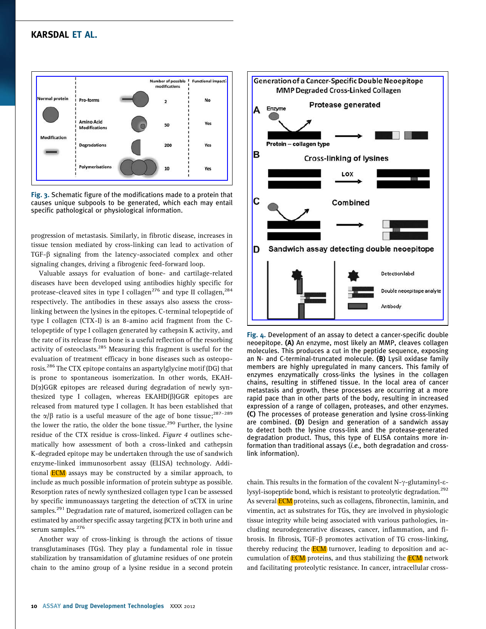

Fig. 3. Schematic figure of the modifications made to a protein that causes unique subpools to be generated, which each may entail specific pathological or physiological information.

progression of metastasis. Similarly, in fibrotic disease, increases in tissue tension mediated by cross-linking can lead to activation of  $TGF-\beta$  signaling from the latency-associated complex and other signaling changes, driving a fibrogenic feed-forward loop.

Valuable assays for evaluation of bone- and cartilage-related diseases have been developed using antibodies highly specific for protease-cleaved sites in type I collagen<sup>276</sup> and type II collagen,<sup>284</sup> respectively. The antibodies in these assays also assess the crosslinking between the lysines in the epitopes. C-terminal telopeptide of type I collagen (CTX-I) is an 8-amino acid fragment from the Ctelopeptide of type I collagen generated by cathepsin K activity, and the rate of its release from bone is a useful reflection of the resorbing activity of osteoclasts.<sup>285</sup> Measuring this fragment is useful for the evaluation of treatment efficacy in bone diseases such as osteoporosis.<sup>286</sup> The CTX epitope contains an aspartylglycine motif (DG) that is prone to spontaneous isomerization. In other words, EKAH- $D(\alpha)$ GGR epitopes are released during degradation of newly synthesized type I collagen, whereas  $EKAHD(\beta)GGR$  epitopes are released from matured type I collagen. It has been established that the  $\alpha/\beta$  ratio is a useful measure of the age of bone tissue;<sup>287–289</sup> the lower the ratio, the older the bone tissue.<sup>290</sup> Further, the lysine residue of the CTX residue is cross-linked. Figure 4 outlines schematically how assessment of both a cross-linked and cathepsin K-degraded epitope may be undertaken through the use of sandwich enzyme-linked immunosorbent assay (ELISA) technology. Additional  $ECM$  assays may be constructed by a similar approach, to include as much possible information of protein subtype as possible. Resorption rates of newly synthesized collagen type I can be assessed by specific immunoassays targeting the detection of  $\alpha$ CTX in urine samples.<sup>291</sup> Degradation rate of matured, isomerized collagen can be estimated by another specific assay targeting  $\beta$ CTX in both urine and serum samples.<sup>276</sup>

Another way of cross-linking is through the actions of tissue transglutaminases (TGs). They play a fundamental role in tissue stabilization by transamidation of glutamine residues of one protein chain to the amino group of a lysine residue in a second protein



Fig. 4. Development of an assay to detect a cancer-specific double neoepitope. (A) An enzyme, most likely an MMP, cleaves collagen molecules. This produces a cut in the peptide sequence, exposing an N- and C-terminal-truncated molecule. (B) Lysil oxidase family members are highly upregulated in many cancers. This family of enzymes enzymatically cross-links the lysines in the collagen chains, resulting in stiffened tissue. In the local area of cancer metastasis and growth, these processes are occurring at a more rapid pace than in other parts of the body, resulting in increased expression of a range of collagen, proteases, and other enzymes. (C) The processes of protease generation and lysine cross-linking are combined. (D) Design and generation of a sandwich assay to detect both the lysine cross-link and the protease-generated degradation product. Thus, this type of ELISA contains more information than traditional assays (i.e., both degradation and crosslink information).

chain. This results in the formation of the covalent N- $\gamma$ -glutaminyl- $\varepsilon$ lysyl-isopeptide bond, which is resistant to proteolytic degradation.<sup>292</sup> As several **ECM** proteins, such as collagens, fibronectin, laminin, and vimentin, act as substrates for TGs, they are involved in physiologic tissue integrity while being associated with various pathologies, including neurodegenerative diseases, cancer, inflammation, and fibrosis. In fibrosis, TGF- $\beta$  promotes activation of TG cross-linking, thereby reducing the  $ECM$  turnover, leading to deposition and accumulation of **ECM** proteins, and thus stabilizing the **ECM** network and facilitating proteolytic resistance. In cancer, intracellular cross-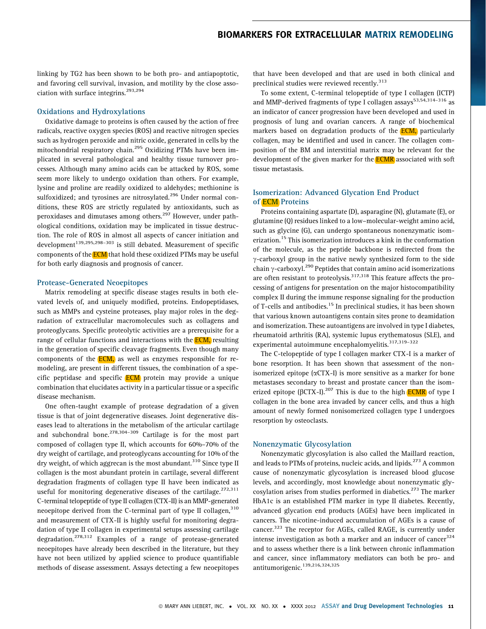linking by TG2 has been shown to be both pro- and antiapoptotic, and favoring cell survival, invasion, and motility by the close association with surface integrins.<sup>293,294</sup>

#### Oxidations and Hydroxylations

Oxidative damage to proteins is often caused by the action of free radicals, reactive oxygen species (ROS) and reactive nitrogen species such as hydrogen peroxide and nitric oxide, generated in cells by the mitochondrial respiratory chain.<sup>295</sup> Oxidizing PTMs have been implicated in several pathological and healthy tissue turnover processes. Although many amino acids can be attacked by ROS, some seem more likely to undergo oxidation than others. For example, lysine and proline are readily oxidized to aldehydes; methionine is sulfoxidized; and tyrosines are nitrosylated.<sup>296</sup> Under normal conditions, these ROS are strictly regulated by antioxidants, such as peroxidases and dimutases among others.<sup>297</sup> However, under pathological conditions, oxidation may be implicated in tissue destruction. The role of ROS in almost all aspects of cancer initiation and development<sup>139,295,298-303</sup> is still debated. Measurement of specific components of the **ECM** that hold these oxidized PTMs may be useful for both early diagnosis and prognosis of cancer.

#### Protease-Generated Neoepitopes

Matrix remodeling at specific disease stages results in both elevated levels of, and uniquely modified, proteins. Endopeptidases, such as MMPs and cysteine proteases, play major roles in the degradation of extracellular macromolecules such as collagens and proteoglycans. Specific proteolytic activities are a prerequisite for a range of cellular functions and interactions with the **ECM**, resulting in the generation of specific cleavage fragments. Even though many components of the **ECM**, as well as enzymes responsible for remodeling, are present in different tissues, the combination of a specific peptidase and specific **ECM** protein may provide a unique combination that elucidates activity in a particular tissue or a specific disease mechanism.

One often-taught example of protease degradation of a given tissue is that of joint degenerative diseases. Joint degenerative diseases lead to alterations in the metabolism of the articular cartilage and subchondral bone.<sup>278,304–309</sup> Cartilage is for the most part composed of collagen type II, which accounts for 60%–70% of the dry weight of cartilage, and proteoglycans accounting for 10% of the dry weight, of which aggrecan is the most abundant.<sup>310</sup> Since type II collagen is the most abundant protein in cartilage, several different degradation fragments of collagen type II have been indicated as useful for monitoring degenerative diseases of the cartilage. $272,311$ C-terminal telopeptide of type II collagen (CTX-II) is an MMP-generated neoepitope derived from the C-terminal part of type II collagen,<sup>310</sup> and measurement of CTX-II is highly useful for monitoring degradation of type II collagen in experimental setups assessing cartilage degradation.<sup>278,312</sup> Examples of a range of protease-generated neoepitopes have already been described in the literature, but they have not been utilized by applied science to produce quantifiable methods of disease assessment. Assays detecting a few neoepitopes

that have been developed and that are used in both clinical and preclinical studies were reviewed recently.<sup>313</sup>

To some extent, C-terminal telopeptide of type I collagen (ICTP) and MMP-derived fragments of type I collagen assays<sup>53,54,314-316</sup> as an indicator of cancer progression have been developed and used in prognosis of lung and ovarian cancers. A range of biochemical markers based on degradation products of the **ECM**, particularly collagen, may be identified and used in cancer. The collagen composition of the BM and interstitial matrix may be relevant for the development of the given marker for the **ECMR** associated with soft tissue metastasis.

## Isomerization: Advanced Glycation End Product of ECM Proteins

Proteins containing aspartate (D), asparagine (N), glutamate (E), or glutamine (Q) residues linked to a low–molecular-weight amino acid, such as glycine (G), can undergo spontaneous nonenzymatic isomerization.<sup>15</sup> This isomerization introduces a kink in the conformation of the molecule, as the peptide backbone is redirected from the  $\gamma$ -carboxyl group in the native newly synthesized form to the side chain  $\gamma$ -carboxyl.<sup>290</sup> Peptides that contain amino acid isomerizations are often resistant to proteolysis.<sup>317,318</sup> This feature affects the processing of antigens for presentation on the major histocompatibility complex II during the immune response signaling for the production of T-cells and antibodies.<sup>15</sup> In preclinical studies, it has been shown that various known autoantigens contain sites prone to deamidation and isomerization. These autoantigens are involved in type I diabetes, rheumatoid arthritis (RA), systemic lupus erythematosus (SLE), and experimental autoimmune encephalomyelitis.<sup>317,319-322</sup>

The C-telopeptide of type I collagen marker CTX-I is a marker of bone resorption. It has been shown that assessment of the nonisomerized epitope  $(\alpha$ CTX-I) is more sensitive as a marker for bone metastases secondary to breast and prostate cancer than the isomerized epitope ( $\beta$ CTX-I).<sup>207</sup> This is due to the high **ECMR** of type I collagen in the bone area invaded by cancer cells, and thus a high amount of newly formed nonisomerized collagen type I undergoes resorption by osteoclasts.

#### Nonenzymatic Glycosylation

Nonenzymatic glycosylation is also called the Maillard reaction, and leads to PTMs of proteins, nucleic acids, and lipids.<sup>273</sup> A common cause of nonenzymatic glycosylation is increased blood glucose levels, and accordingly, most knowledge about nonenzymatic glycosylation arises from studies performed in diabetics.<sup>273</sup> The marker HbA1c is an established PTM marker in type II diabetes. Recently, advanced glycation end products (AGEs) have been implicated in cancers. The nicotine-induced accumulation of AGEs is a cause of cancer.<sup>323</sup> The receptor for AGEs, called RAGE, is currently under intense investigation as both a marker and an inducer of cancer $324$ and to assess whether there is a link between chronic inflammation and cancer, since inflammatory mediators can both be pro- and antitumorigenic.<sup>139,216,324,325</sup>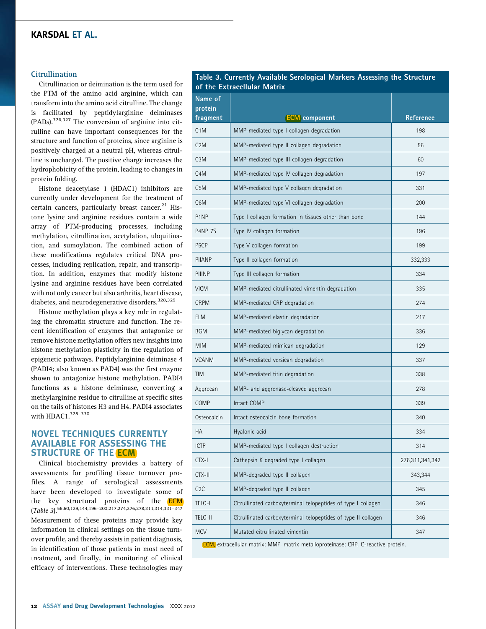#### **Citrullination**

Citrullination or deimination is the term used for the PTM of the amino acid arginine, which can transform into the amino acid citrulline. The change is facilitated by peptidylarginine deiminases  $(PADs)$ .  $326,327$  The conversion of arginine into citrulline can have important consequences for the structure and function of proteins, since arginine is positively charged at a neutral pH, whereas citrulline is uncharged. The positive charge increases the hydrophobicity of the protein, leading to changes in protein folding.

Histone deacetylase 1 (HDAC1) inhibitors are currently under development for the treatment of certain cancers, particularly breast cancer. $21$  Histone lysine and arginine residues contain a wide array of PTM-producing processes, including methylation, citrullination, acetylation, ubquitination, and sumoylation. The combined action of these modifications regulates critical DNA processes, including replication, repair, and transcription. In addition, enzymes that modify histone lysine and arginine residues have been correlated with not only cancer but also arthritis, heart disease, diabetes, and neurodegenerative disorders.<sup>328,329</sup>

Histone methylation plays a key role in regulating the chromatin structure and function. The recent identification of enzymes that antagonize or remove histone methylation offers new insights into histone methylation plasticity in the regulation of epigenetic pathways. Peptidylarginine deiminase 4 (PADI4; also known as PAD4) was the first enzyme shown to antagonize histone methylation. PADI4 functions as a histone deiminase, converting a methylarginine residue to citrulline at specific sites on the tails of histones H3 and H4. PADI4 associates with HDAC1. $328-330$ 

## NOVEL TECHNIQUES CURRENTLY AVAILABLE FOR ASSESSING THE STRUCTURE OF THE **ECM**

Clinical biochemistry provides a battery of assessments for profiling tissue turnover profiles. A range of serological assessments have been developed to investigate some of the key structural proteins of the **ECM** (Table 3).56,60,129,144,196–200,217,274,276,278,311,314,331–347 Measurement of these proteins may provide key information in clinical settings on the tissue turnover profile, and thereby assists in patient diagnosis, in identification of those patients in most need of treatment, and finally, in monitoring of clinical efficacy of interventions. These technologies may

Table 3. Currently Available Serological Markers Assessing the Structure of the Extracellular Matrix

| Name of<br>protein<br>fragment | <b>ECM</b> component                                           | <b>Reference</b> |
|--------------------------------|----------------------------------------------------------------|------------------|
| C1M                            | MMP-mediated type I collagen degradation                       | 198              |
| C2M                            | MMP-mediated type II collagen degradation                      | 56               |
| C <sub>3</sub> M               | MMP-mediated type III collagen degradation                     | 60               |
| C <sub>4</sub> M               | MMP-mediated type IV collagen degradation                      | 197              |
| C <sub>5</sub> M               | MMP-mediated type V collagen degradation                       | 331              |
| C <sub>6</sub> M               | MMP-mediated type VI collagen degradation                      | 200              |
| P1NP                           | Type I collagen formation in tissues other than bone           | 144              |
| <b>P4NP 7S</b>                 | Type IV collagen formation                                     | 196              |
| P <sub>5</sub> CP              | Type V collagen formation                                      | 199              |
| <b>PIIANP</b>                  | Type II collagen formation                                     | 332,333          |
| PIIINP                         | Type III collagen formation                                    | 334              |
| <b>VICM</b>                    | MMP-mediated citrullinated vimentin degradation                | 335              |
| <b>CRPM</b>                    | MMP-mediated CRP degradation                                   | 274              |
| ELM                            | MMP-mediated elastin degradation                               | 217              |
| <b>BGM</b>                     | MMP-mediated biglycan degradation                              | 336              |
| <b>MIM</b>                     | MMP-mediated mimican degradation                               | 129              |
| <b>VCANM</b>                   | MMP-mediated versican degradation                              | 337              |
| <b>TIM</b>                     | MMP-mediated titin degradation                                 | 338              |
| Aggrecan                       | MMP- and aggrenase-cleaved aggrecan                            | 278              |
| COMP                           | Intact COMP                                                    | 339              |
| Osteocalcin                    | Intact osteocalcin bone formation                              | 340              |
| НA                             | Hyalonic acid                                                  | 334              |
| <b>ICTP</b>                    | MMP-mediated type I collagen destruction                       | 314              |
| CTX-I                          | Cathepsin K degraded type I collagen                           | 276,311,341,342  |
| CTX-II                         | MMP-degraded type II collagen                                  | 343,344          |
| C <sub>2</sub> C               | MMP-degraded type II collagen                                  | 345              |
| TELO-I                         | Citrullinated carboxyterminal telopeptides of type I collagen  | 346              |
| TELO-II                        | Citrullinated carboxyterminal telopeptides of type II collagen | 346              |
| <b>MCV</b>                     | Mutated citrullinated vimentin                                 | 347              |

ECM, extracellular matrix; MMP, matrix metalloproteinase; CRP, C-reactive protein.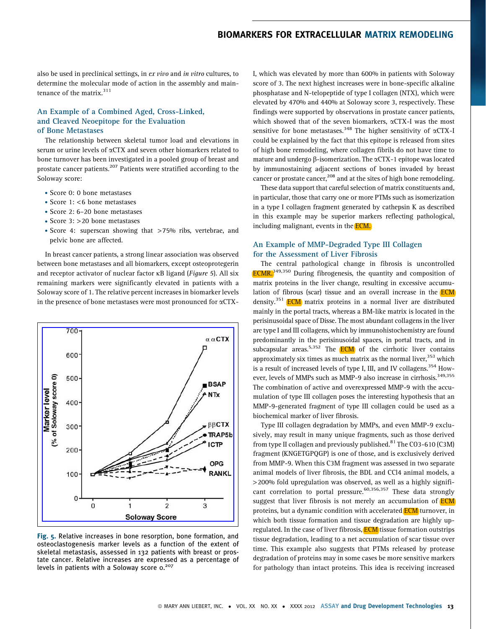also be used in preclinical settings, in ex vivo and in vitro cultures, to determine the molecular mode of action in the assembly and maintenance of the matrix.<sup>311</sup>

## An Example of a Combined Aged, Cross-Linked, and Cleaved Neoepitope for the Evaluation of Bone Metastases

The relationship between skeletal tumor load and elevations in serum or urine levels of  $\alpha$ CTX and seven other biomarkers related to bone turnover has been investigated in a pooled group of breast and prostate cancer patients.<sup>207</sup> Patients were stratified according to the Soloway score:

- . Score 0: 0 bone metastases
- . Score 1: <6 bone metastases
- . Score 2: 6–20 bone metastases
- . Score 3: >20 bone metastases
- . Score 4: superscan showing that >75% ribs, vertebrae, and pelvic bone are affected.

In breast cancer patients, a strong linear association was observed between bone metastases and all biomarkers, except osteoprotegerin and receptor activator of nuclear factor  $\kappa$ B ligand (Figure 5). All six remaining markers were significantly elevated in patients with a Soloway score of 1. The relative percent increases in biomarker levels in the presence of bone metastases were most pronounced for aCTX-



Fig. 5. Relative increases in bone resorption, bone formation, and osteoclastogenesis marker levels as a function of the extent of skeletal metastasis, assessed in 132 patients with breast or prostate cancer. Relative increases are expressed as a percentage of levels in patients with a Soloway score  $0.^{207}$ 

I, which was elevated by more than 600% in patients with Soloway score of 3. The next highest increases were in bone-specific alkaline phosphatase and N-telopeptide of type I collagen (NTX), which were elevated by 470% and 440% at Soloway score 3, respectively. These findings were supported by observations in prostate cancer patients, which showed that of the seven biomarkers,  $\alpha$ CTX-I was the most sensitive for bone metastases.<sup>348</sup> The higher sensitivity of  $\alpha$ CTX-I could be explained by the fact that this epitope is released from sites of high bone remodeling, where collagen fibrils do not have time to mature and undergo  $\beta$ -isomerization. The  $\alpha$ CTX-1 epitope was located by immunostaining adjacent sections of bones invaded by breast cancer or prostate cancer,<sup>208</sup> and at the sites of high bone remodeling.

These data support that careful selection of matrix constituents and, in particular, those that carry one or more PTMs such as isomerization in a type I collagen fragment generated by cathepsin K as described in this example may be superior markers reflecting pathological, including malignant, events in the **ECM.** 

## An Example of MMP-Degraded Type III Collagen for the Assessment of Liver Fibrosis

The central pathological change in fibrosis is uncontrolled **ECMR.**<sup>349,350</sup> During fibrogenesis, the quantity and composition of matrix proteins in the liver change, resulting in excessive accumulation of fibrous (scar) tissue and an overall increase in the **ECM** density.<sup>351</sup> **ECM** matrix proteins in a normal liver are distributed mainly in the portal tracts, whereas a BM-like matrix is located in the perisinusoidal space of Disse. The most abundant collagens in the liver are type I and III collagens, which by immunohistochemistry are found predominantly in the perisinusoidal spaces, in portal tracts, and in subcapsular areas.<sup>5,352</sup> The **ECM** of the cirrhotic liver contains approximately six times as much matrix as the normal liver,  $353$  which is a result of increased levels of type I, III, and IV collagens.<sup>354</sup> However, levels of MMPs such as MMP-9 also increase in cirrhosis.<sup>349,355</sup> The combination of active and overexpressed MMP-9 with the accumulation of type III collagen poses the interesting hypothesis that an MMP-9-generated fragment of type III collagen could be used as a biochemical marker of liver fibrosis.

Type III collagen degradation by MMPs, and even MMP-9 exclusively, may result in many unique fragments, such as those derived from type II collagen and previously published.<sup>81</sup> The CO3-610 (C3M) fragment (KNGETGPQGP) is one of those, and is exclusively derived from MMP-9. When this C3M fragment was assessed in two separate animal models of liver fibrosis, the BDL and CCl4 animal models, a >200% fold upregulation was observed, as well as a highly significant correlation to portal pressure.<sup>60,356,357</sup> These data strongly suggest that liver fibrosis is not merely an accumulation of **ECM** proteins, but a dynamic condition with accelerated **ECM** turnover, in which both tissue formation and tissue degradation are highly upregulated. In the case of liver fibrosis, ECM tissue formation outstrips tissue degradation, leading to a net accumulation of scar tissue over time. This example also suggests that PTMs released by protease degradation of proteins may in some cases be more sensitive markers for pathology than intact proteins. This idea is receiving increased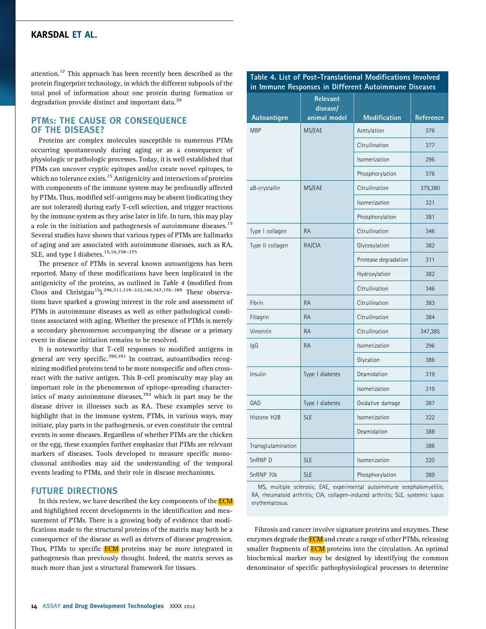attention.<sup>17</sup> This approach has been recently been described as the protein fingerprint technology, in which the different subpools of the total pool of information about one protein during formation or degradation provide distinct and important data.<sup>20</sup>

## PTMS: THE CAUSE OR CONSEQUENCE OF THE DISEASE?

Proteins are complex molecules susceptible to numerous PTMs occurring spontaneously during aging or as a consequence of physiologic or pathologic processes. Today, it is well established that PTMs can uncover cryptic epitopes and/or create novel epitopes, to which no tolerance exists.<sup>15</sup> Antigenicity and interactions of proteins with components of the immune system may be profoundly affected by PTMs. Thus, modified self-antigens may be absent (indicating they are not tolerated) during early T-cell selection, and trigger reactions by the immune system as they arise later in life. In turn, this may play a role in the initiation and pathogenesis of autoimmune diseases.<sup>15</sup> Several studies have shown that various types of PTMs are hallmarks of aging and are associated with autoimmune diseases, such as RA, SLE, and type I diabetes.<sup>15,16,358-375</sup>

The presence of PTMs in several known autoantigens has been reported. Many of these modifications have been implicated in the antigenicity of the proteins, as outlined in Table 4 (modified from Cloos and Christgau<sup>15</sup>).<sup>296,311,319-322,346,347,376-389</sup> These observations have sparked a growing interest in the role and assessment of PTMs in autoimmune diseases as well as other pathological conditions associated with aging. Whether the presence of PTMs is merely a secondary phenomenon accompanying the disease or a primary event in disease initiation remains to be resolved.

It is noteworthy that T-cell responses to modified antigens in general are very specific.<sup>390,391</sup> In contrast, autoantibodies recognizing modified proteins tend to be more nonspecific and often crossreact with the native antigen. This B-cell promiscuity may play an important role in the phenomenon of epitope-spreading characteristics of many autoimmune diseases,  $392$  which in part may be the disease driver in illnesses such as RA. These examples serve to highlight that in the immune system, PTMs, in various ways, may initiate, play parts in the pathogenesis, or even constitute the central events in some diseases. Regardless of whether PTMs are the chicken or the egg, these examples further emphasize that PTMs are relevant markers of diseases. Tools developed to measure specific monoclononal antibodies may aid the understanding of the temporal events leading to PTMs, and their role in disease mechanisms.

#### FUTURE DIRECTIONS

In this review, we have described the key components of the **ECM** and highlighted recent developments in the identification and measurement of PTMs. There is a growing body of evidence that modifications made to the structural proteins of the matrix may both be a consequence of the disease as well as drivers of disease progression. Thus, PTMs to specific **ECM** proteins may be more integrated in pathogenesis than previously thought. Indeed, the matrix serves as much more than just a structural framework for tissues.

| Autoantigen        | <b>Relevant</b><br>disease/<br>animal model | <b>Modification</b>  | <b>Reference</b> |
|--------------------|---------------------------------------------|----------------------|------------------|
| <b>MBP</b>         | MS/EAE                                      | Acetylation          | 376              |
|                    |                                             | Citrullination       | 377              |
|                    |                                             | Isomerization        | 296              |
|                    |                                             | Phosphorylation      | 378              |
| aB-crystallin      | MS/EAE                                      | Citrullination       | 379,380          |
|                    |                                             | Isomerization        | 321              |
|                    |                                             | Phosphorylation      | 381              |
| Type I collagen    | <b>RA</b>                                   | Citrullination       | 346              |
| Type II collagen   | RA/CIA                                      | Glycosylation        | 382              |
|                    |                                             | Protease degradation | 311              |
|                    |                                             | Hydroxylation        | 382              |
|                    |                                             | Citrullination       | 346              |
| Fibrin             | <b>RA</b>                                   | Citrullination       | 383              |
| Fillagrin          | <b>RA</b>                                   | Citrullination       | 384              |
| Vimentin           | <b>RA</b>                                   | Citrullination       | 347,385          |
| lgG                | <b>RA</b>                                   | Isomerization        | 296              |
|                    |                                             | Glycation            | 386              |
| Insulin            | Type I diabetes                             | Deamidation          | 319              |
|                    |                                             | Isomerization        | 319              |
| GAD                | Type I diabetes                             | Oxidative damage     | 387              |
| Histone H2B        | <b>SLE</b>                                  | Isomerization        | 322              |
|                    |                                             | Deamidation          | 388              |
| Transglutamination |                                             |                      | 388              |
| SnRNP D            | <b>SLE</b>                                  | Isomerization        | 320              |
| SnRNP 70k          | <b>SLE</b>                                  | Phosphorylation      | 389              |

## Table 4. List of Post-Translational Modifications Involved in Immune Responses in Different Autoimmune Diseases

MS, multiple sclerosis; EAE, experimental autoimmune ecephalomyelitis; RA, rheumatoid arthritis; CIA, collagen-induced arthritis; SLE, systemic lupus erythematosus.

Fibrosis and cancer involve signature proteins and enzymes. These enzymes degrade the **ECM** and create a range of other PTMs, releasing smaller fragments of **ECM** proteins into the circulation. An optimal biochemical marker may be designed by identifying the common denominator of specific pathophysiological processes to determine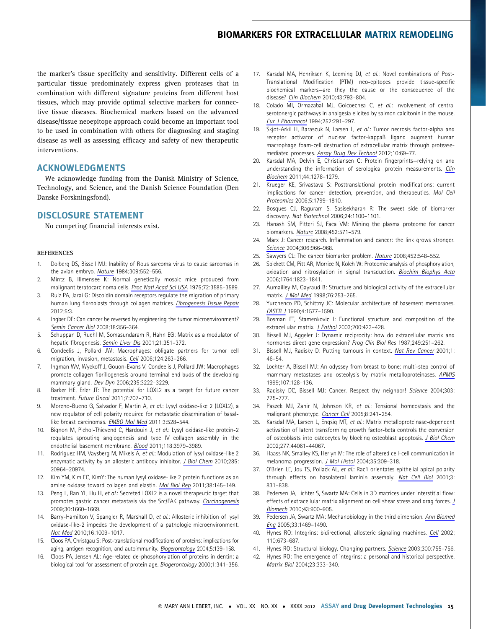the marker's tissue specificity and sensitivity. Different cells of a particular tissue predominately express given proteases that in combination with different signature proteins from different host tissues, which may provide optimal selective markers for connective tissue diseases. Biochemical markers based on the advanced disease/tissue neoepitope approach could become an important tool to be used in combination with others for diagnosing and staging disease as well as assessing efficacy and safety of new therapeutic interventions.

#### ACKNOWLEDGMENTS

We acknowledge funding from the Danish Ministry of Science, Technology, and Science, and the Danish Science Foundation (Den Danske Forskningsfond).

## DISCLOSURE STATEMENT

No competing financial interests exist.

#### **REFERENCES**

- 1. Dolberg DS, Bissell MJ: Inability of Rous sarcoma virus to cause sarcomas in the avian embryo. Nature 1984;309:552–556.
- 2. Mintz B, Illmensee K: Normal genetically mosaic mice produced from malignant teratocarcinoma cells. Proc Natl Acad Sci USA 1975;72:3585–3589.
- 3. Ruiz PA, Jarai G: Discoidin domain receptors regulate the migration of primary human lung fibroblasts through collagen matrices. Fibrogenesis Tissue Repair 2012;5:3.
- 4. Ingber DE: Can cancer be reversed by engineering the tumor microenvironment? Semin Cancer Biol 2008;18:356–364.
- 5. Schuppan D, Ruehl M, Somasundaram R, Hahn EG: Matrix as a modulator of hepatic fibrogenesis. Semin Liver Dis 2001;21:351–372.
- 6. Condeelis J, Pollard JW: Macrophages: obligate partners for tumor cell migration, invasion, metastasis. Cell 2006;124:263–266.
- 7. Ingman WV, Wyckoff J, Gouon-Evans V, Condeelis J, Pollard JW: Macrophages promote collagen fibrillogenesis around terminal end buds of the developing mammary gland. Dev Dyn 2006;235:3222–3229.
- 8. Barker HE, Erler JT: The potential for LOXL2 as a target for future cancer treatment. Future Oncol 2011;7:707–710.
- 9. Moreno-Bueno G, Salvador F, Martin A, et al.: Lysyl oxidase-like 2 (LOXL2), a new regulator of cell polarity required for metastatic dissemination of basallike breast carcinomas. EMBO Mol Med 2011;3:528-544.
- 10. Bignon M, Pichol-Thievend C, Hardouin J, et al.: Lysyl oxidase-like protein-2 regulates sprouting angiogenesis and type IV collagen assembly in the endothelial basement membrane. Blood 2011;118:3979–3989.
- 11. Rodriguez HM, Vaysberg M, Mikels A, et al.: Modulation of lysyl oxidase-like 2 enzymatic activity by an allosteric antibody inhibitor. J Biol Chem 2010;285: 20964–20974.
- 12. Kim YM, Kim EC, KimY: The human lysyl oxidase-like 2 protein functions as an amine oxidase toward collagen and elastin. Mol Biol Rep 2011;38:145-149.
- 13. Peng L, Ran YL, Hu H, et al.: Secreted LOXL2 is a novel therapeutic target that promotes gastric cancer metastasis via the Src/FAK pathway. Carcinogenesis 2009;30:1660–1669.
- 14. Barry-Hamilton V, Spangler R, Marshall D, et al.: Allosteric inhibition of lysyl oxidase-like-2 impedes the development of a pathologic microenvironment. Nat Med 2010;16:1009–1017.
- 15. Cloos PA, Christgau S: Post-translational modifications of proteins: implications for aging, antigen recognition, and autoimmunity. Biogerontology 2004;5:139-158.
- 16. Cloos PA, Jensen AL: Age-related de-phosphorylation of proteins in dentin: a biological tool for assessment of protein age. Biogerontology 2000;1:341–356.
- 17. Karsdal MA, Henriksen K, Leeming DJ, et al.: Novel combinations of Post-Translational Modification (PTM) neo-epitopes provide tissue-specific biochemical markers—are they the cause or the consequence of the disease? Clin Biochem 2010;43:793–804.
- 18. Colado MI, Ormazabal MJ, Goicoechea C, et al.: Involvement of central serotonergic pathways in analgesia elicited by salmon calcitonin in the mouse. Eur J Pharmacol 1994;252:291–297.
- 19. Skjot-Arkil H, Barascuk N, Larsen L, et al.: Tumor necrosis factor-alpha and receptor activator of nuclear factor-kappaB ligand augment human macrophage foam-cell destruction of extracellular matrix through proteasemediated processes. Assay Drug Dev Technol 2012;10:69–77.
- 20. Karsdal MA, Delvin E, Christiansen C: Protein fingerprints—relying on and understanding the information of serological protein measurements. Clin Biochem 2011;44:1278–1279.
- 21. Krueger KE, Srivastava S: Posttranslational protein modifications: current implications for cancer detection, prevention, and therapeutics. Mol Cell Proteomics 2006;5:1799–1810.
- 22. Bosques CJ, Raguram S, Sasisekharan R: The sweet side of biomarker discovery. Nat Biotechnol 2006;24:1100–1101.
- 23. Hanash SM, Pitteri SJ, Faca VM: Mining the plasma proteome for cancer biomarkers. Nature 2008;452:571–579.
- 24. Marx J: Cancer research. Inflammation and cancer: the link grows stronger. Science 2004;306:966–968.
- 25. Sawyers CL: The cancer biomarker problem. Nature 2008;452:548–552.
- 26. Spickett CM, Pitt AR, Morrice N, Kolch W: Proteomic analysis of phosphorylation, oxidation and nitrosylation in signal transduction. Biochim Biophys Acta 2006;1764:1823–1841.
- 27. Aumailley M, Gayraud B: Structure and biological activity of the extracellular matrix. J Mol Med 1998;76:253–265.
- 28. Yurchenco PD, Schittny JC: Molecular architecture of basement membranes. FASEB J 1990;4:1577–1590.
- 29. Bosman FT, Stamenkovic I: Functional structure and composition of the extracellular matrix. J Pathol 2003;200:423–428.
- 30. Bissell MJ, Aggeler J: Dynamic reciprocity: how do extracellular matrix and hormones direct gene expression? Prog Clin Biol Res 1987;249:251–262.
- 31. Bissell MJ, Radisky D: Putting tumours in context. Nat Rev Cancer 2001;1: 46–54.
- 32. Lochter A, Bissell MJ: An odyssey from breast to bone: multi-step control of mammary metastases and osteolysis by matrix metalloproteinases. APMIS 1999;107:128–136.
- 33. Radisky DC, Bissell MJ: Cancer. Respect thy neighbor! Science 2004;303: 775–777.
- 34. Paszek MJ, Zahir N, Johnson KR, et al.: Tensional homeostasis and the malignant phenotype. Cancer Cell 2005;8:241–254.
- 35. Karsdal MA, Larsen L, Engsig MT, et al.: Matrix metalloproteinase-dependent activation of latent transforming growth factor-beta controls the conversion of osteoblasts into osteocytes by blocking osteoblast apoptosis. J Biol Chem 2002;277:44061–44067.
- 36. Haass NK, Smalley KS, Herlyn M: The role of altered cell-cell communication in melanoma progression. J Mol Histol 2004;35:309–318.
- 37. O'Brien LE, Jou TS, Pollack AL, et al.: Rac1 orientates epithelial apical polarity through effects on basolateral laminin assembly. Nat Cell Biol 2001;3: 831–838.
- 38. Pedersen JA, Lichter S, Swartz MA: Cells in 3D matrices under interstitial flow: effects of extracellular matrix alignment on cell shear stress and drag forces. J Biomech 2010;43:900–905.
- 39. Pedersen JA, Swartz MA: Mechanobiology in the third dimension. Ann Biomed Eng 2005;33:1469–1490.
- 40. Hynes RO: Integrins: bidirectional, allosteric signaling machines. Cell 2002; 110:673–687.
- 41. Hynes RO: Structural biology. Changing partners. Science 2003;300:755-756.
- 42. Hynes RO: The emergence of integrins: a personal and historical perspective. Matrix Biol 2004;23:333–340.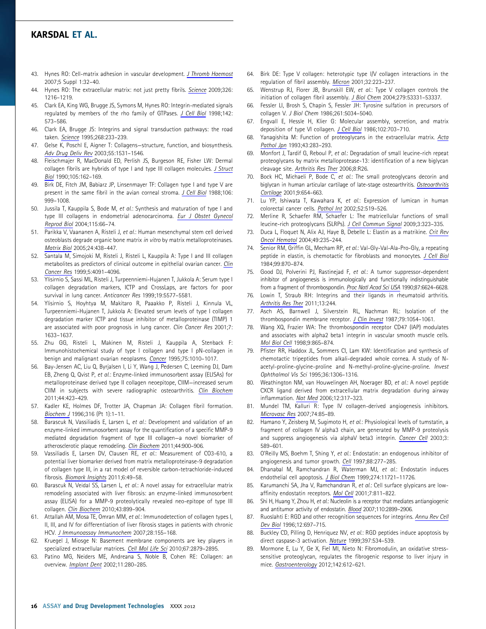- 43. Hynes RO: Cell-matrix adhesion in vascular development. J Thromb Haemost 2007;5 Suppl 1:32–40.
- 44. Hynes RO: The extracellular matrix: not just pretty fibrils. Science 2009;326: 1216–1219.
- 45. Clark EA, King WG, Brugge JS, Symons M, Hynes RO: Integrin-mediated signals regulated by members of the rho family of GTPases. J Cell Biol 1998;142: 573–586.
- 46. Clark EA, Brugge JS: Integrins and signal transduction pathways: the road taken. Science 1995;268:233–239.
- 47. Gelse K, Poschl E, Aigner T: Collagens—structure, function, and biosynthesis. Adv Drug Deliv Rev 2003;55:1531–1546.
- 48. Fleischmajer R, MacDonald ED, Perlish JS, Burgeson RE, Fisher LW: Dermal collagen fibrils are hybrids of type I and type III collagen molecules. J Struct Biol 1990;105:162–169.
- 49. Birk DE, Fitch JM, Babiarz JP, Linsenmayer TF: Collagen type I and type V are present in the same fibril in the avian corneal stroma. J Cell Biol 1988;106: 999–1008.
- 50. Jussila T, Kauppila S, Bode M, et al.: Synthesis and maturation of type I and type III collagens in endometrial adenocarcinoma. Eur J Obstet Gynecol Reprod Biol 2004;115:66–74.
- 51. Parikka V, Vaananen A, Risteli J, et al.: Human mesenchymal stem cell derived osteoblasts degrade organic bone matrix in vitro by matrix metalloproteinases. Matrix Biol 2005;24:438–447.
- 52. Santala M, Simojoki M, Risteli J, Risteli L, Kauppila A: Type I and III collagen metabolites as predictors of clinical outcome in epithelial ovarian cancer. Clin Cancer Res 1999;5:4091–4096.
- 53. Ylisirnio S, Sassi ML, Risteli J, Turpeenniemi-Hujanen T, Jukkola A: Serum type I collagen degradation markers, ICTP and CrossLaps, are factors for poor survival in lung cancer. Anticancer Res 1999;19:5577–5581.
- 54. Ylisirnio S, Hoyhtya M, Makitaro R, Paaakko P, Risteli J, Kinnula VL, Turpeenniemi-Hujanen T, Jukkola A: Elevated serum levels of type I collagen degradation marker ICTP and tissue inhibitor of metalloproteinase (TIMP) 1 are associated with poor prognosis in lung cancer. Clin Cancer Res 2001;7: 1633–1637.
- 55. Zhu GG, Risteli L, Makinen M, Risteli J, Kauppila A, Stenback F: Immunohistochemical study of type I collagen and type I pN-collagen in benign and malignant ovarian neoplasms. Cancer 1995;75:1010–1017.
- 56. Bay-Jensen AC, Liu Q, Byrjalsen I, Li Y, Wang J, Pedersen C, Leeming DJ, Dam EB, Zheng Q, Qvist P, et al.: Enzyme-linked immunosorbent assay (ELISAs) for metalloproteinase derived type II collagen neoepitope, CIIM—increased serum CIIM in subjects with severe radiographic osteoarthritis. Clin Biochem 2011;44:423–429.
- 57. Kadler KE, Holmes DF, Trotter JA, Chapman JA: Collagen fibril formation. Biochem J 1996;316 (Pt 1):1–11.
- 58. Barascuk N, Vassiliadis E, Larsen L, et al.: Development and validation of an enzyme-linked immunosorbent assay for the quantification of a specific MMP-9 mediated degradation fragment of type III collagen—a novel biomarker of atherosclerotic plaque remodeling. Clin Biochem 2011;44:900–906.
- 59. Vassiliadis E, Larsen DV, Clausen RE, et al.: Measurement of CO3-610, a potential liver biomarker derived from matrix metalloproteinase-9 degradation of collagen type III, in a rat model of reversible carbon-tetrachloride-induced fibrosis. Biomark Insights 2011;6:49–58.
- 60. Barascuk N, Veidal SS, Larsen L, et al.: A novel assay for extracellular matrix remodeling associated with liver fibrosis: an enzyme-linked immunosorbent assay (ELISA) for a MMP-9 proteolytically revealed neo-epitope of type III collagen. Clin Biochem 2010;43:899–904.
- 61. Attallah AM, Mosa TE, Omran MM, et al.: Immunodetection of collagen types I, II, III, and IV for differentiation of liver fibrosis stages in patients with chronic HCV. J Immunoassay Immunochem 2007;28:155–168.
- 62. Kruegel J, Miosge N: Basement membrane components are key players in specialized extracellular matrices. Cell Mol Life Sci 2010;67:2879-2895.
- 63. Patino MG, Neiders ME, Andreana S, Noble B, Cohen RE: Collagen: an overview. Implant Dent 2002;11:280–285.
- 64. Birk DE: Type V collagen: heterotypic type I/V collagen interactions in the regulation of fibril assembly. Micron 2001;32:223–237.
- 65. Wenstrup RJ, Florer JB, Brunskill EW, et al.: Type V collagen controls the initiation of collagen fibril assembly. J Biol Chem 2004;279:53331-53337.
- 66. Fessler LI, Brosh S, Chapin S, Fessler JH: Tyrosine sulfation in precursors of collagen V. J Biol Chem 1986;261:5034–5040.
- 67. Engvall E, Hessle H, Klier G: Molecular assembly, secretion, and matrix deposition of type VI collagen. J Cell Biol 1986;102:703-710.
- 68. Yanagishita M: Function of proteoglycans in the extracellular matrix. Acta Pathol Jpn 1993;43:283–293.
- 69. Monfort J, Tardif G, Reboul P, et al.: Degradation of small leucine-rich repeat proteoglycans by matrix metalloprotease-13: identification of a new biglycan cleavage site. Arthritis Res Ther 2006;8:R26.
- 70. Bock HC, Michaeli P, Bode C, et al.: The small proteoglycans decorin and biglycan in human articular cartilage of late-stage osteoarthritis. Osteoarthritis Cartilage 2001;9:654–663.
- 71. Lu YP, Ishiwata T, Kawahara K, et al.: Expression of lumican in human colorectal cancer cells. Pathol Int 2002;52:519–526.
- 72. Merline R, Schaefer RM, Schaefer L: The matricellular functions of small leucine-rich proteoglycans (SLRPs). J Cell Commun Signal 2009;3:323–335.
- 73. Duca L, Floquet N, Alix AJ, Haye B, Debelle L: Elastin as a matrikine. Crit Rev Oncol Hematol 2004;49:235–244.
- 74. Senior RM, Griffin GL, Mecham RP, et al.: Val-Gly-Val-Ala-Pro-Gly, a repeating peptide in elastin, is chemotactic for fibroblasts and monocytes. J Cell Biol 1984;99:870–874.
- 75. Good DJ, Polverini PJ, Rastinejad F, et al.: A tumor suppressor-dependent inhibitor of angiogenesis is immunologically and functionally indistinguishable from a fragment of thrombospondin. Proc Natl Acad Sci USA 1990;87:6624–6628.
- 76. Lowin T, Straub RH: Integrins and their ligands in rheumatoid arthritis. Arthritis Res Ther 2011;13:244.
- 77. Asch AS, Barnwell J, Silverstein RL, Nachman RL: Isolation of the thrombospondin membrane receptor. J Clin Invest 1987;79:1054–1061.
- 78. Wang XQ, Frazier WA: The thrombospondin receptor CD47 (IAP) modulates and associates with alpha2 beta1 integrin in vascular smooth muscle cells. Mol Biol Cell 1998;9:865–874.
- 79. Pfister RR, Haddox JL, Sommers CI, Lam KW: Identification and synthesis of chemotactic tripeptides from alkali-degraded whole cornea. A study of Nacetyl-proline-glycine-proline and N-methyl-proline-glycine-proline. Invest Ophthalmol Vis Sci 1995;36:1306–1316.
- 80. Weathington NM, van Houwelingen AH, Noerager BD, et al.: A novel peptide CXCR ligand derived from extracellular matrix degradation during airway inflammation. Nat Med 2006;12:317–323.
- 81. Mundel TM, Kalluri R: Type IV collagen-derived angiogenesis inhibitors. Microvasc Res 2007;74:85–89.
- 82. Hamano Y, Zeisberg M, Sugimoto H, et al.: Physiological levels of tumstatin, a fragment of collagen IV alpha3 chain, are generated by MMP-9 proteolysis and suppress angiogenesis via alphaV beta3 integrin. Cancer Cell 2003;3: 589–601.
- 83. O'Reilly MS, Boehm T, Shing Y, et al.: Endostatin: an endogenous inhibitor of angiogenesis and tumor growth. Cell 1997;88:277–285.
- 84. Dhanabal M, Ramchandran R, Waterman MJ, et al.: Endostatin induces endothelial cell apoptosis. J Biol Chem 1999;274:11721-11726.
- 85. Karumanchi SA, Jha V, Ramchandran R, et al.: Cell surface glypicans are lowaffinity endostatin receptors. Mol Cell 2001;7:811-822.
- 86. Shi H, Huang Y, Zhou H, et al.: Nucleolin is a receptor that mediates antiangiogenic and antitumor activity of endostatin. Blood 2007;110:2899–2906.
- 87. Ruoslahti E: RGD and other recognition sequences for integrins. Annu Rev Cell Dev Biol 1996;12:697–715.
- 88. Buckley CD, Pilling D, Henriquez NV, et al.: RGD peptides induce apoptosis by direct caspase-3 activation. Nature 1999;397:534–539.
- Mormone E, Lu Y, Ge X, Fiel MI, Nieto N: Fibromodulin, an oxidative stresssensitive proteoglycan, regulates the fibrogenic response to liver injury in mice. Gastroenterology 2012;142:612–621.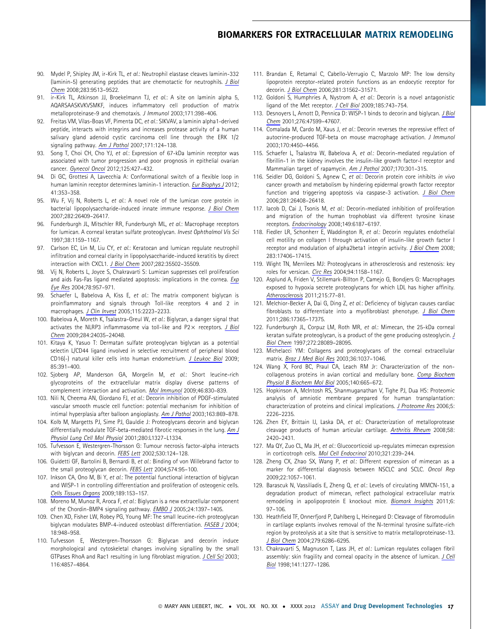- 90. Mydel P, Shipley JM, ir-Kirk TL, et al.: Neutrophil elastase cleaves laminin-332 (laminin-5) generating peptides that are chemotactic for neutrophils. J Biol Chem 2008;283:9513–9522.
- 91. ir-Kirk TL, Atkinson JJ, Broekelmann TJ, et al.: A site on laminin alpha 5, AQARSAASKVKVSMKF, induces inflammatory cell production of matrix metalloproteinase-9 and chemotaxis. J Immunol 2003;171:398–406.
- 92. Freitas VM, Vilas-Boas VF, Pimenta DC, et al.: SIKVAV, a laminin alpha1-derived peptide, interacts with integrins and increases protease activity of a human salivary gland adenoid cystic carcinoma cell line through the ERK 1/2 signaling pathway. Am J Pathol 2007;171:124–138.
- 93. Song T, Choi CH, Cho YJ, et al.: Expression of 67-kDa laminin receptor was associated with tumor progression and poor prognosis in epithelial ovarian cancer. Gynecol Oncol 2012;125:427–432.
- 94. Di GC, Grottesi A, Lavecchia A: Conformational switch of a flexible loop in human laminin receptor determines laminin-1 interaction. Eur Biophys J 2012; 41:353–358.
- 95. Wu F, Vij N, Roberts L, et al.: A novel role of the lumican core protein in bacterial lipopolysaccharide-induced innate immune response. J Biol Chem 2007;282:26409–26417.
- 96. Funderburgh JL, Mitschler RR, Funderburgh ML, et al.: Macrophage receptors for lumican. A corneal keratan sulfate proteoglycan. Invest Ophthalmol Vis Sci 1997;38:1159–1167.
- 97. Carlson EC, Lin M, Liu CY, et al.: Keratocan and lumican regulate neutrophil infiltration and corneal clarity in lipopolysaccharide-induced keratitis by direct interaction with CXCL1. J Biol Chem 2007;282:35502–35509.
- 98. Vij N, Roberts L, Joyce S, Chakravarti S: Lumican suppresses cell proliferation and aids Fas-Fas ligand mediated apoptosis: implications in the cornea. Exp Eye Res 2004;78:957–971.
- 99. Schaefer L, Babelova A, Kiss E, et al.: The matrix component biglycan is proinflammatory and signals through Toll-like receptors 4 and 2 in macrophages. J Clin Invest 2005;115:2223-2233.
- 100. Babelova A, Moreth K, Tsalastra-Greul W, et al.: Biglycan, a danger signal that activates the NLRP3 inflammasome via toll-like and  $P2 \times$  receptors. J Biol Chem 2009;284:24035–24048.
- 101. Kitaya K, Yasuo T: Dermatan sulfate proteoglycan biglycan as a potential selectin L/CD44 ligand involved in selective recruitment of peripheral blood CD16(-) natural killer cells into human endometrium. J Leukoc Biol 2009; 85:391–400.
- 102. Sjoberg AP, Manderson GA, Morgelin M, et al.: Short leucine-rich glycoproteins of the extracellular matrix display diverse patterns of complement interaction and activation. Mol Immunol 2009;46:830–839.
- 103. Nili N, Cheema AN, Giordano FJ, et al.: Decorin inhibition of PDGF-stimulated vascular smooth muscle cell function: potential mechanism for inhibition of intimal hyperplasia after balloon angioplasty. Am J Pathol 2003;163:869–878.
- 104. Kolb M, Margetts PJ, Sime PJ, Gauldie J: Proteoglycans decorin and biglycan differentially modulate TGF-beta-mediated fibrotic responses in the lung. Am J Physiol Lung Cell Mol Physiol 2001;280:L1327–L1334.
- 105. Tufvesson E, Westergren-Thorsson G: Tumour necrosis factor-alpha interacts with biglycan and decorin. FEBS Lett 2002;530:124–128.
- 106. Guidetti GF, Bartolini B, Bernardi B, et al.: Binding of von Willebrand factor to the small proteoglycan decorin. FEBS Lett 2004;574:95–100.
- 107. Inkson CA, Ono M, Bi Y, et al.: The potential functional interaction of biglycan and WISP-1 in controlling differentiation and proliferation of osteogenic cells. Cells Tissues Organs 2009;189:153–157.
- 108. Moreno M, Munoz R, Aroca F, et al.: Biglycan is a new extracellular component of the Chordin-BMP4 signaling pathway. EMBO J 2005;24:1397–1405.
- 109. Chen XD, Fisher LW, Robey PG, Young MF: The small leucine-rich proteoglycan biglycan modulates BMP-4-induced osteoblast differentiation. FASEB J 2004; 18:948–958.
- 110. Tufvesson E, Westergren-Thorsson G: Biglycan and decorin induce morphological and cytoskeletal changes involving signalling by the small GTPases RhoA and Rac1 resulting in lung fibroblast migration. J Cell Sci 2003; 116:4857–4864.
- 111. Brandan E, Retamal C, Cabello-Verrugio C, Marzolo MP: The low density lipoprotein receptor-related protein functions as an endocytic receptor for decorin. J Biol Chem 2006;281:31562–31571.
- 112. Goldoni S, Humphries A, Nystrom A, et al.: Decorin is a novel antagonistic ligand of the Met receptor. J Cell Biol 2009;185:743-754.
- 113. Desnoyers L, Arnott D, Pennica D: WISP-1 binds to decorin and biglycan. J Biol Chem 2001;276:47599–47607.
- 114. Comalada M, Cardo M, Xaus J, et al.: Decorin reverses the repressive effect of autocrine-produced TGF-beta on mouse macrophage activation. J Immunol 2003;170:4450–4456.
- 115. Schaefer L, Tsalastra W, Babelova A, et al.: Decorin-mediated regulation of fibrillin-1 in the kidney involves the insulin-like growth factor-I receptor and Mammalian target of rapamycin. Am J Pathol 2007;170:301–315.
- 116. Seidler DG, Goldoni S, Agnew C, et al.: Decorin protein core inhibits in vivo cancer growth and metabolism by hindering epidermal growth factor receptor function and triggering apoptosis via caspase-3 activation. J Biol Chem 2006;281:26408–26418.
- 117. Iacob D, Cai J, Tsonis M, et al.: Decorin-mediated inhibition of proliferation and migration of the human trophoblast via different tyrosine kinase receptors. Endocrinology 2008;149:6187–6197.
- 118. Fiedler LR, Schonherr E, Waddington R, et al.: Decorin regulates endothelial cell motility on collagen I through activation of insulin-like growth factor I receptor and modulation of alpha2beta1 integrin activity. J Biol Chem 2008; 283:17406–17415.
- 119. Wight TN, Merrilees MJ: Proteoglycans in atherosclerosis and restenosis: key roles for versican. Circ Res 2004;94:1158–1167.
- 120. Asplund A, Friden V, Stillemark-Billton P, Camejo G, Bondjers G: Macrophages exposed to hypoxia secrete proteoglycans for which LDL has higher affinity. Atherosclerosis 2011;215:77–81.
- 121. Melchior-Becker A, Dai G, Ding Z, et al.: Deficiency of biglycan causes cardiac fibroblasts to differentiate into a myofibroblast phenotype. J Biol Chem 2011;286:17365–17375.
- 122. Funderburgh JL, Corpuz LM, Roth MR, et al.: Mimecan, the 25-kDa corneal keratan sulfate proteoglycan, is a product of the gene producing osteoglycin. J Biol Chem 1997;272:28089–28095.
- 123. Michelacci YM: Collagens and proteoglycans of the corneal extracellular matrix. Braz J Med Biol Res 2003;36:1037–1046.
- 124. Wang X, Ford BC, Praul CA, Leach RM Jr: Characterization of the noncollagenous proteins in avian cortical and medullary bone. Comp Biochem Physiol B Biochem Mol Biol 2005;140:665–672.
- 125. Hopkinson A, McIntosh RS, Shanmuganathan V, Tighe PJ, Dua HS: Proteomic analysis of amniotic membrane prepared for human transplantation: characterization of proteins and clinical implications. J Proteome Res 2006;5: 2226–2235.
- 126. Zhen EY, Brittain IJ, Laska DA, et al.: Characterization of metalloprotease cleavage products of human articular cartilage. Arthritis Rheum 2008;58: 2420–2431.
- 127. Ma QY, Zuo CL, Ma JH, et al.: Glucocorticoid up-regulates mimecan expression in corticotroph cells. Mol Cell Endocrinol 2010;321:239-244.
- 128. Zheng CX, Zhao SX, Wang P, et al.: Different expression of mimecan as a marker for differential diagnosis between NSCLC and SCLC. Oncol Rep 2009;22:1057–1061.
- 129. Barascuk N, Vassiliadis E, Zheng Q, et al.: Levels of circulating MMCN-151, a degradation product of mimecan, reflect pathological extracellular matrix remodeling in apolipoprotein E knockout mice. Biomark Insights 2011;6: 97–106.
- 130. Heathfield TF, Onnerfjord P, Dahlberg L, Heinegard D: Cleavage of fibromodulin in cartilage explants involves removal of the N-terminal tyrosine sulfate-rich region by proteolysis at a site that is sensitive to matrix metalloproteinase-13. J Biol Chem 2004;279:6286–6295.
- 131. Chakravarti S, Magnuson T, Lass JH, et al.: Lumican regulates collagen fibril assembly: skin fragility and corneal opacity in the absence of lumican. J Cell Biol 1998;141:1277–1286.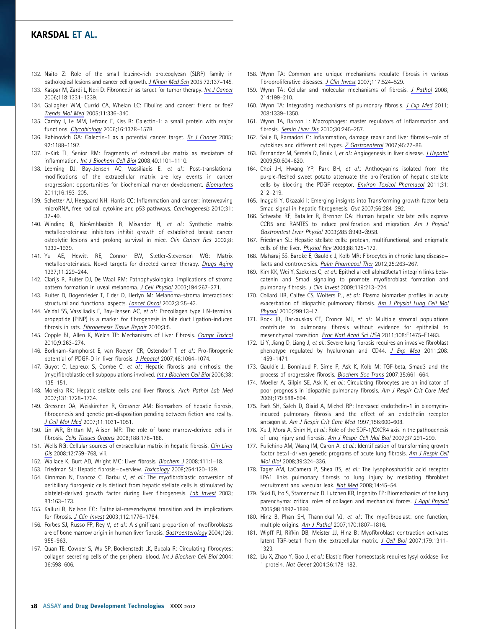- 132. Naito Z: Role of the small leucine-rich proteoglycan (SLRP) family in pathological lesions and cancer cell growth. J Nihon Med Sch 2005;72:137–145.
- 133. Kaspar M, Zardi L, Neri D: Fibronectin as target for tumor therapy. Int J Cancer 2006;118:1331–1339.
- 134. Gallagher WM, Currid CA, Whelan LC: Fibulins and cancer: friend or foe? Trends Mol Med 2005;11:336–340.
- 135. Camby I, Le MM, Lefranc F, Kiss R: Galectin-1: a small protein with major functions. Glycobiology 2006;16:137R–157R.
- 136. Rabinovich GA: Galectin-1 as a potential cancer target. Br J Cancer 2005; 92:1188–1192.
- 137. ir-Kirk TL, Senior RM: Fragments of extracellular matrix as mediators of inflammation. Int J Biochem Cell Biol 2008;40:1101–1110.
- 138. Leeming DJ, Bay-Jensen AC, Vassiliadis E, et al.: Post-translational modifications of the extracellular matrix are key events in cancer progression: opportunities for biochemical marker development. Biomarkers 2011;16:193–205.
- 139. Schetter AJ, Heegaard NH, Harris CC: Inflammation and cancer: interweaving microRNA, free radical, cytokine and p53 pathways. Carcinogenesis 2010;31: 37–49.
- 140. Winding B, NicAmhlaoibh R, Misander H, et al.: Synthetic matrix metalloproteinase inhibitors inhibit growth of established breast cancer osteolytic lesions and prolong survival in mice. Clin Cancer Res 2002;8: 1932–1939.
- 141. Yu AE, Hewitt RE, Connor EW, Stetler-Stevenson WG: Matrix metalloproteinases. Novel targets for directed cancer therapy. Drugs Aging 1997;11:229–244.
- 142. Clarijs R, Ruiter DJ, De Waal RM: Pathophysiological implications of stroma pattern formation in uveal melanoma. J Cell Physiol 2003;194:267–271.
- 143. Ruiter D, Bogenrieder T, Elder D, Herlyn M: Melanoma-stroma interactions: structural and functional aspects. Lancet Oncol 2002;3:35–43.
- 144. Veidal SS, Vassiliadis E, Bay-Jensen AC, et al.: Procollagen type I N-terminal propeptide (PINP) is a marker for fibrogenesis in bile duct ligation-induced fibrosis in rats. Fibrogenesis Tissue Repair 2010;3:5.
- 145. Copple BL, Allen K, Welch TP: Mechanisms of Liver Fibrosis. Compr Toxicol 2010;9:263–274.
- 146. Borkham-Kamphorst E, van Roeyen CR, Ostendorf T, et al.: Pro-fibrogenic potential of PDGF-D in liver fibrosis. J Hepatol 2007;46:1064–1074.
- 147. Guyot C, Lepreux S, Combe C, et al.: Hepatic fibrosis and cirrhosis: the (myo)fibroblastic cell subpopulations involved. Int J Biochem Cell Biol 2006;38: 135–151.
- 148. Moreira RK: Hepatic stellate cells and liver fibrosis. Arch Pathol Lab Med 2007;131:1728–1734.
- 149. Gressner OA, Weiskirchen R, Gressner AM: Biomarkers of hepatic fibrosis, fibrogenesis and genetic pre-disposition pending between fiction and reality. J Cell Mol Med 2007;11:1031–1051.
- 150. Lin WR, Brittan M, Alison MR: The role of bone marrow-derived cells in fibrosis. Cells Tissues Organs 2008;188:178–188.
- 151. Wells RG: Cellular sources of extracellular matrix in hepatic fibrosis. Clin Liver Dis 2008;12:759–768, viii.
- 152. Wallace K, Burt AD, Wright MC: Liver fibrosis. Biochem J 2008;411:1-18.
- 153. Friedman SL: Hepatic fibrosis—overview. Toxicology 2008;254:120–129.
- 154. Kinnman N, Francoz C, Barbu V, et al.: The myofibroblastic conversion of peribiliary fibrogenic cells distinct from hepatic stellate cells is stimulated by platelet-derived growth factor during liver fibrogenesis. Lab Invest 2003; 83:163–173.
- 155. Kalluri R, Neilson EG: Epithelial-mesenchymal transition and its implications for fibrosis. J Clin Invest 2003;112:1776–1784.
- 156. Forbes SJ, Russo FP, Rey V, et al.: A significant proportion of myofibroblasts are of bone marrow origin in human liver fibrosis. Gastroenterology 2004;126: 955–963.
- 157. Quan TE, Cowper S, Wu SP, Bockenstedt LK, Bucala R: Circulating fibrocytes: collagen-secreting cells of the peripheral blood. Int J Biochem Cell Biol 2004; 36:598–606.
- 158. Wynn TA: Common and unique mechanisms regulate fibrosis in various fibroproliferative diseases. J Clin Invest 2007;117:524–529.
- 159. Wynn TA: Cellular and molecular mechanisms of fibrosis. J Pathol 2008; 214:199–210.
- 160. Wynn TA: Integrating mechanisms of pulmonary fibrosis. J Exp Med 2011; 208:1339–1350.
- 161. Wynn TA, Barron L: Macrophages: master regulators of inflammation and fibrosis. Semin Liver Dis 2010;30:245–257.
- 162. Saile B, Ramadori G: Inflammation, damage repair and liver fibrosis—role of cytokines and different cell types. Z Gastroenterol 2007;45:77–86.
- 163. Fernandez M, Semela D, Bruix J, et al.: Angiogenesis in liver disease. J Hepatol 2009;50:604–620.
- 164. Choi JH, Hwang YP, Park BH, et al.: Anthocyanins isolated from the purple-fleshed sweet potato attenuate the proliferation of hepatic stellate cells by blocking the PDGF receptor. *Environ Toxicol Pharmacol* 2011;31: 212–219.
- 165. Inagaki Y, Okazaki I: Emerging insights into Transforming growth factor beta Smad signal in hepatic fibrogenesis. Gut 2007;56:284-292.
- 166. Schwabe RF, Bataller R, Brenner DA: Human hepatic stellate cells express CCR5 and RANTES to induce proliferation and migration. Am J Physiol Gastrointest Liver Physiol 2003;285:G949–G958.
- 167. Friedman SL: Hepatic stellate cells: protean, multifunctional, and enigmatic cells of the liver. Physiol Rev 2008;88:125–172.
- 168. Maharaj SS, Baroke E, Gauldie J, Kolb MR: Fibrocytes in chronic lung disease facts and controversies. Pulm Pharmacol Ther 2012;25:263–267.
- 169. Kim KK, Wei Y, Szekeres C, et al.: Epithelial cell alpha3beta1 integrin links betacatenin and Smad signaling to promote myofibroblast formation and pulmonary fibrosis. J Clin Invest 2009;119:213–224.
- 170. Collard HR, Calfee CS, Wolters PJ, et al.: Plasma biomarker profiles in acute exacerbation of idiopathic pulmonary fibrosis. Am J Physiol Lung Cell Mol Physiol 2010;299:L3–L7.
- 171. Rock JR, Barkauskas CE, Cronce MJ, et al.: Multiple stromal populations contribute to pulmonary fibrosis without evidence for epithelial to mesenchymal transition. Proc Natl Acad Sci USA 2011;108:E1475-E1483.
- 172. Li Y, Jiang D, Liang J, et al.: Severe lung fibrosis requires an invasive fibroblast phenotype regulated by hyaluronan and CD44. J Exp Med 2011;208: 1459–1471.
- 173. Gauldie J, Bonniaud P, Sime P, Ask K, Kolb M: TGF-beta, Smad3 and the process of progressive fibrosis. Biochem Soc Trans 2007;35:661–664.
- 174. Moeller A, Gilpin SE, Ask K, et al.: Circulating fibrocytes are an indicator of poor prognosis in idiopathic pulmonary fibrosis. Am J Respir Crit Care Med 2009;179:588–594.
- 175. Park SH, Saleh D, Giaid A, Michel RP: Increased endothelin-1 in bleomycininduced pulmonary fibrosis and the effect of an endothelin receptor antagonist. Am J Respir Crit Care Med 1997;156:600–608.
- 176. Xu J, Mora A, Shim H, et al.: Role of the SDF-1/CXCR4 axis in the pathogenesis of lung injury and fibrosis. Am J Respir Cell Mol Biol 2007;37:291–299.
- 177. Pulichino AM, Wang IM, Caron A, et al.: Identification of transforming growth factor beta1-driven genetic programs of acute lung fibrosis. Am J Respir Cell Mol Biol 2008;39:324–336.
- 178. Tager AM, LaCamera P, Shea BS, et al.: The lysophosphatidic acid receptor LPA1 links pulmonary fibrosis to lung injury by mediating fibroblast recruitment and vascular leak. Nat Med 2008;14:45-54.
- 179. Suki B, Ito S, Stamenovic D, Lutchen KR, Ingenito EP: Biomechanics of the lung parenchyma: critical roles of collagen and mechanical forces. J Appl Physiol 2005;98:1892–1899.
- 180. Hinz B, Phan SH, Thannickal VJ, et al.: The myofibroblast: one function, multiple origins. Am J Pathol 2007;170:1807–1816.
- 181. Wipff PJ, Rifkin DB, Meister JJ, Hinz B: Myofibroblast contraction activates latent TGF-beta1 from the extracellular matrix. J Cell Biol 2007;179:1311-1323.
- 182. Liu X, Zhao Y, Gao J, et al.: Elastic fiber homeostasis requires lysyl oxidase-like 1 protein. Nat Genet 2004;36:178–182.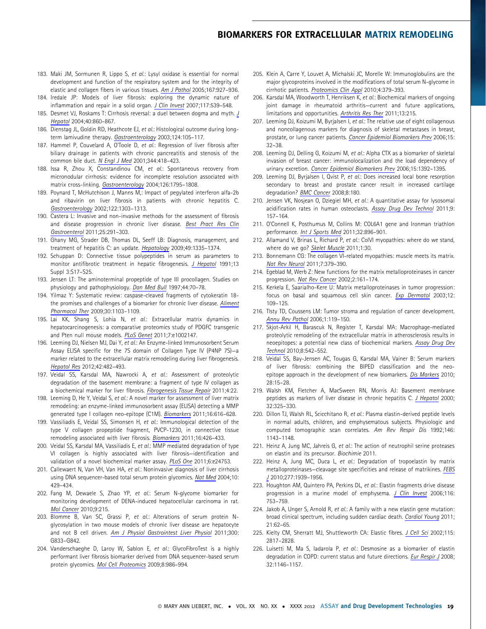- 183. Maki JM, Sormunen R, Lippo S, et al.: Lysyl oxidase is essential for normal development and function of the respiratory system and for the integrity of elastic and collagen fibers in various tissues. Am J Pathol 2005;167:927–936.
- 184. Iredale JP: Models of liver fibrosis: exploring the dynamic nature of inflammation and repair in a solid organ. J Clin Invest 2007;117:539-548.
- 185. Desmet VJ, Roskams T: Cirrhosis reversal: a duel between dogma and myth. J Hepatol 2004;40:860–867.
- 186. Dienstag JL, Goldin RD, Heathcote EJ, et al.: Histological outcome during longterm lamivudine therapy. Gastroenterology 2003;124:105–117.
- 187. Hammel P, Couvelard A, O'Toole D, et al.: Regression of liver fibrosis after biliary drainage in patients with chronic pancreatitis and stenosis of the common bile duct. N Engl J Med 2001;344:418-423.
- 188. Issa R, Zhou X, Constandinou CM, et al.: Spontaneous recovery from micronodular cirrhosis: evidence for incomplete resolution associated with matrix cross-linking. Gastroenterology 2004;126:1795–1808.
- 189. Poynard T, McHutchison J, Manns M,: Impact of pegylated interferon alfa-2b and ribavirin on liver fibrosis in patients with chronic hepatitis C. Gastroenterology 2002;122:1303–1313.
- 190. Castera L: Invasive and non-invasive methods for the assessment of fibrosis and disease progression in chronic liver disease. Best Pract Res Clin Gastroenterol 2011;25:291–303.
- 191. Ghany MG, Strader DB, Thomas DL, Seeff LB: Diagnosis, management, and treatment of hepatitis C: an update. Hepatology 2009;49:1335-1374.
- 192. Schuppan D: Connective tissue polypeptides in serum as parameters to monitor antifibrotic treatment in hepatic fibrogenesis. J Hepatol 1991;13 Suppl 3:S17–S25.
- 193. Jensen LT: The aminoterminal propeptide of type III procollagen. Studies on physiology and pathophysiology. Dan Med Bull 1997;44:70–78.
- 194. Yilmaz Y: Systematic review: caspase-cleaved fragments of cytokeratin 18 the promises and challenges of a biomarker for chronic liver disease. Aliment Pharmacol Ther 2009;30:1103–1109.
- 195. Lai KK, Shang S, Lohia N, et al.: Extracellular matrix dynamics in hepatocarcinogenesis: a comparative proteomics study of PDGFC transgenic and Pten null mouse models. PLoS Genet 2011;7:e1002147.
- 196. Leeming DJ, Nielsen MJ, Dai Y, et al.: An Enzyme-linked Immunosorbent Serum Assay ELISA specific for the 7S domain of Collagen Type IV (P4NP 7S)—a marker related to the extracellular matrix remodeling during liver fibrogenesis. Hepatol Res 2012;42:482–493.
- 197. Veidal SS, Karsdal MA, Nawrocki A, et al.: Assessment of proteolytic degradation of the basement membrane: a fragment of type IV collagen as a biochemical marker for liver fibrosis. Fibrogenesis Tissue Repair 2011;4:22.
- 198. Leeming D, He Y, Veidal S, et al.: A novel marker for assessment of liver matrix remodeling: an enzyme-linked immunosorbent assay (ELISA) detecting a MMP generated type I collagen neo-epitope (C1M). Biomarkers 2011;16:616-628.
- 199. Vassiliadis E, Veidal SS, Simonsen H, et al.: Immunological detection of the type V collagen propeptide fragment, PVCP-1230, in connective tissue remodeling associated with liver fibrosis. Biomarkers 2011;16:426–433.
- 200. Veidal SS, Karsdal MA, Vassiliadis E, et al.: MMP mediated degradation of type VI collagen is highly associated with liver fibrosis—identification and validation of a novel biochemical marker assay. PLoS One 2011;6:e24753.
- 201. Callewaert N, Van VH, Van HA, et al.: Noninvasive diagnosis of liver cirrhosis using DNA sequencer-based total serum protein glycomics. Nat Med 2004;10: 429–434.
- 202. Fang M, Dewaele S, Zhao YP, et al.: Serum N-glycome biomarker for monitoring development of DENA-induced hepatocellular carcinoma in rat. Mol Cancer 2010;9:215.
- 203. Blomme B, Van SC, Grassi P, et al.: Alterations of serum protein Nglycosylation in two mouse models of chronic liver disease are hepatocyte and not B cell driven. Am J Physiol Gastrointest Liver Physiol 2011;300: G833–G842.
- 204. Vanderschaeghe D, Laroy W, Sablon E, et al.: GlycoFibroTest is a highly performant liver fibrosis biomarker derived from DNA sequencer-based serum protein glycomics. Mol Cell Proteomics 2009;8:986–994.
- 205. Klein A, Carre Y, Louvet A, Michalski JC, Morelle W: Immunoglobulins are the major glycoproteins involved in the modifications of total serum N-glycome in cirrhotic patients. Proteomics Clin Appl 2010;4:379–393.
- 206. Karsdal MA, Woodworth T, Henriksen K, et al.: Biochemical markers of ongoing joint damage in rheumatoid arthritis—current and future applications, limitations and opportunities. Arthritis Res Ther 2011;13:215.
- 207. Leeming DJ, Koizumi M, Byrjalsen I, et al.: The relative use of eight collagenous and noncollagenous markers for diagnosis of skeletal metastases in breast, prostate, or lung cancer patients. Cancer Epidemiol Biomarkers Prev 2006;15: 32–38.
- 208. Leeming DJ, Delling G, Koizumi M, et al.: Alpha CTX as a biomarker of skeletal invasion of breast cancer: immunolocalization and the load dependency of urinary excretion. Cancer Epidemiol Biomarkers Prev 2006;15:1392–1395.
- 209. Leeming DJ, Byrjalsen I, Qvist P, et al.: Does increased local bone resorption secondary to breast and prostate cancer result in increased cartilage degradation? BMC Cancer 2008;8:180.
- 210. Jensen VK, Nosjean O, Dziegiel MH, et al.: A quantitative assay for lysosomal acidification rates in human osteoclasts. Assay Drug Dev Technol 2011;9: 157–164.
- 211. O'Connell K, Posthumus M, Collins M: COL6A1 gene and Ironman triathlon performance. Int J Sports Med 2011;32:896–901.
- 212. Allamand V, Brinas L, Richard P, et al.: ColVI myopathies: where do we stand, where do we go? Skelet Muscle 2011;1:30.
- 213. Bonnemann CG: The collagen VI-related myopathies: muscle meets its matrix. Nat Rev Neurol 2011;7:379–390.
- 214. Egeblad M, Werb Z: New functions for the matrix metalloproteinases in cancer progression. Nat Rev Cancer 2002;2:161–174.
- 215. Kerkela E, Saarialho-Kere U: Matrix metalloproteinases in tumor progression: focus on basal and squamous cell skin cancer. Exp Dermatol 2003;12: 109–125.
- 216. Tlsty TD, Coussens LM: Tumor stroma and regulation of cancer development. Annu Rev Pathol 2006;1:119–150.
- 217. Skjot-Arkil H, Barascuk N, Register T, Karsdal MA: Macrophage-mediated proteolytic remodeling of the extracellular matrix in atherosclerosis results in neoepitopes: a potential new class of biochemical markers. Assay Drug Dev Technol 2010;8:542–552.
- 218. Veidal SS, Bay-Jensen AC, Tougas G, Karsdal MA, Vainer B: Serum markers of liver fibrosis: combining the BIPED classification and the neoepitope approach in the development of new biomarkers. Dis Markers 2010; 28:15–28.
- 219. Walsh KM, Fletcher A, MacSween RN, Morris AJ: Basement membrane peptides as markers of liver disease in chronic hepatitis C. J Hepatol 2000; 32:325–330.
- 220. Dillon TJ, Walsh RL, Scicchitano R, et al.: Plasma elastin-derived peptide levels in normal adults, children, and emphysematous subjects. Physiologic and computed tomographic scan correlates. Am Rev Respir Dis 1992;146: 1143–1148.
- 221. Heinz A, Jung MC, Jahreis G, et al.: The action of neutrophil serine proteases on elastin and its precursor. Biochimie 2011.
- 222. Heinz A, Jung MC, Duca L, et al.: Degradation of tropoelastin by matrix metalloproteinases—cleavage site specificities and release of matrikines. FEBS J 2010;277:1939–1956.
- 223. Houghton AM, Quintero PA, Perkins DL, et al.: Elastin fragments drive disease progression in a murine model of emphysema. J Clin Invest 2006;116: 753–759.
- 224. Jakob A, Unger S, Arnold R, et al.: A family with a new elastin gene mutation: broad clinical spectrum, including sudden cardiac death. Cardiol Young 2011; 21:62–65.
- 225. Kielty CM, Sherratt MJ, Shuttleworth CA: Elastic fibres. J Cell Sci 2002;115: 2817–2828.
- 226. Luisetti M, Ma S, ladarola P, et al.: Desmosine as a biomarker of elastin degradation in COPD: current status and future directions. *Eur Respir J* 2008; 32:1146–1157.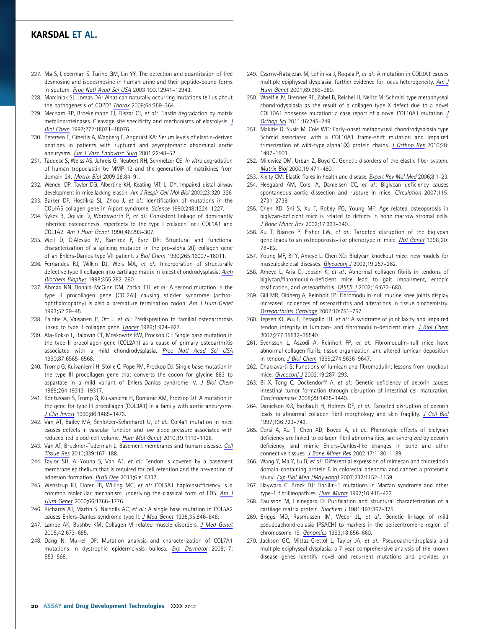- 227. Ma S, Lieberman S, Turino GM, Lin YY: The detection and quantitation of free desmosine and isodesmosine in human urine and their peptide-bound forms in sputum. Proc Natl Acad Sci USA 2003;100:12941–12943.
- 228. Marciniak SJ, Lomas DA: What can naturally occurring mutations tell us about the pathogenesis of COPD? Thorax 2009;64:359-364.
- 229. Mecham RP, Broekelmann TJ, Fliszar CJ, et al.: Elastin degradation by matrix metalloproteinases. Cleavage site specificity and mechanisms of elastolysis. J Biol Chem 1997;272:18071–18076.
- 230. Petersen E, Gineitis A, Wagberg F, Angquist KA: Serum levels of elastin-derived peptides in patients with ruptured and asymptomatic abdominal aortic aneurysms. Eur J Vasc Endovasc Surg 2001;22:48–52.
- 231. Taddese S, Weiss AS, Jahreis G, Neubert RH, Schmelzer CE: In vitro degradation of human tropoelastin by MMP-12 and the generation of matrikines from domain 24. Matrix Biol 2009;28:84–91.
- 232. Wendel DP, Taylor DG, Albertine KH, Keating MT, Li DY: Impaired distal airway development in mice lacking elastin. Am J Respir Cell Mol Biol 2000;23:320–326.
- 233. Barker DF, Hostikka SL, Zhou J, et al.: Identification of mutations in the COL4A5 collagen gene in Alport syndrome. Science 1990;248:1224–1227.
- 234. Sykes B, Ogilvie D, Wordsworth P, et al.: Consistent linkage of dominantly inherited osteogenesis imperfecta to the type I collagen loci: COL1A1 and COL1A2. Am J Hum Genet 1990;46:293–307.
- 235. Weil D, D'Alessio M, Ramirez F, Eyre DR: Structural and functional characterization of a splicing mutation in the pro-alpha 2(I) collagen gene of an Ehlers-Danlos type VII patient. J Biol Chem 1990;265:16007–16011.
- 236. Fernandes RJ, Wilkin DJ, Weis MA, et al.: Incorporation of structurally defective type II collagen into cartilage matrix in kniest chondrodysplasia. Arch Biochem Biophys 1998;355:282–290.
- 237. Ahmad NN, Donald-McGinn DM, Zackai EH, et al.: A second mutation in the type II procollagen gene (COL2AI) causing stickler syndrome (arthroophthalmopathy) is also a premature termination codon. Am J Hum Genet 1993;52:39–45.
- 238. Palotie A, Vaisanen P, Ott J, et al.: Predisposition to familial osteoarthrosis linked to type II collagen gene. Lancet 1989;1:924–927.
- 239. Ala-Kokko L, Baldwin CT, Moskowitz RW, Prockop DJ: Single base mutation in the type II procollagen gene (COL2A1) as a cause of primary osteoarthritis associated with a mild chondrodysplasia. Proc Natl Acad Sci USA 1990;87:6565–6568.
- 240. Tromp G, Kuivaniemi H, Stolle C, Pope FM, Prockop DJ: Single base mutation in the type III procollagen gene that converts the codon for glycine 883 to aspartate in a mild variant of Ehlers-Danlos syndrome IV. J Biol Chem 1989;264:19313–19317.
- 241. Kontusaari S, Tromp G, Kuivaniemi H, Romanic AM, Prockop DJ: A mutation in the gene for type III procollagen (COL3A1) in a family with aortic aneurysms. J Clin Invest 1990;86:1465–1473.
- 242. Van AT, Bailey MA, Schlotzer-Schrehardt U, et al.: Col4a1 mutation in mice causes defects in vascular function and low blood pressure associated with reduced red blood cell volume. Hum Mol Genet 2010;19:1119–1128.
- 243. Van AT, Bruckner-Tuderman L: Basement membranes and human disease. Cell Tissue Res 2010;339:167–188.
- 244. Taylor SH, Al-Youha S, Van AT, et al.: Tendon is covered by a basement membrane epithelium that is required for cell retention and the prevention of adhesion formation. PLoS One 2011;6:e16337.
- 245. Wenstrup RJ, Florer JB, Willing MC, et al.: COL5A1 haploinsufficiency is a common molecular mechanism underlying the classical form of EDS. Am J Hum Genet 2000;66:1766–1776.
- 246. Richards AJ, Martin S, Nicholls AC, et al.: A single base mutation in COL5A2 causes Ehlers-Danlos syndrome type II. J Med Genet 1998;35:846–848.
- 247. Lampe AK, Bushby KM: Collagen VI related muscle disorders. J Med Genet 2005;42:673–685.
- 248. Dang N, Murrell DF: Mutation analysis and characterization of COL7A1 mutations in dystrophic epidermolysis bullosa. Exp Dermatol 2008;17: 553–568.
- 249. Czarny-Ratajczak M, Lohiniva J, Rogala P, et al.: A mutation in COL9A1 causes multiple epiphyseal dysplasia: further evidence for locus heterogeneity. Am J Hum Genet 2001;69:969–980.
- 250. Woelfle JV, Brenner RE, Zabel B, Reichel H, Nelitz M: Schmid-type metaphyseal chondrodysplasia as the result of a collagen type X defect due to a novel COL10A1 nonsense mutation: a case report of a novel COL10A1 mutation. J Orthop Sci 2011;16:245–249.
- 251. Makitie O, Susic M, Cole WG: Early-onset metaphyseal chondrodysplasia type Schmid associated with a COL10A1 frame-shift mutation and impaired trimerization of wild-type alpha1(X) protein chains. J Orthop Res 2010;28: 1497–1501.
- 252. Milewicz DM, Urban Z, Boyd C: Genetic disorders of the elastic fiber system. Matrix Biol 2000;19:471–480.
- 253. Kielty CM: Elastic fibres in health and disease. Expert Rev Mol Med 2006;8:1–23.
- 254. Heegaard AM, Corsi A, Danielsen CC, et al.: Biglycan deficiency causes spontaneous aortic dissection and rupture in mice. Circulation 2007;115: 2731–2738.
- 255. Chen XD, Shi S, Xu T, Robey PG, Young MF: Age-related osteoporosis in biglycan-deficient mice is related to defects in bone marrow stromal cells. J Bone Miner Res 2002;17:331–340.
- 256. Xu T, Bianco P, Fisher LW, et al.: Targeted disruption of the biglycan gene leads to an osteoporosis-like phenotype in mice. Nat Genet 1998;20: 78–82.
- 257. Young MF, Bi Y, Ameye L, Chen XD: Biglycan knockout mice: new models for musculoskeletal diseases. Glycoconj J 2002;19:257–262.
- 258. Ameye L, Aria D, Jepsen K, et al.: Abnormal collagen fibrils in tendons of biglycan/fibromodulin-deficient mice lead to gait impairment, ectopic ossification, and osteoarthritis. FASEB J 2002;16:673–680.
- 259. Gill MR, Oldberg A, Reinholt FP: Fibromodulin-null murine knee joints display increased incidences of osteoarthritis and alterations in tissue biochemistry. Osteoarthritis Cartilage 2002;10:751–757.
- 260. Jepsen KJ, Wu F, Peragallo JH, et al.: A syndrome of joint laxity and impaired tendon integrity in lumican- and fibromodulin-deficient mice. J Biol Chem 2002;277:35532–35540.
- 261. Svensson L, Aszodi A, Reinholt FP, et al.: Fibromodulin-null mice have abnormal collagen fibrils, tissue organization, and altered lumican deposition in tendon. J Biol Chem 1999;274:9636–9647.
- 262. Chakravarti S: Functions of lumican and fibromodulin: lessons from knockout mice. Glycoconj J 2002;19:287–293.
- 263. Bi X, Tong C, Dockendorff A, et al.: Genetic deficiency of decorin causes intestinal tumor formation through disruption of intestinal cell maturation. Carcinogenesis 2008;29:1435–1440.
- 264. Danielson KG, Baribault H, Holmes DF, et al.: Targeted disruption of decorin leads to abnormal collagen fibril morphology and skin fragility. J Cell Biol 1997;136:729–743.
- 265. Corsi A, Xu T, Chen XD, Boyde A, et al.: Phenotypic effects of biglycan deficiency are linked to collagen fibril abnormalities, are synergized by decorin deficiency, and mimic Ehlers-Danlos-like changes in bone and other connective tissues. *J Bone Miner Res* 2002;17:1180-1189.
- 266. Wang Y, Ma Y, Lu B, et al.: Differential expression of mimecan and thioredoxin domain-containing protein 5 in colorectal adenoma and cancer: a proteomic study. Exp Biol Med (Maywood) 2007;232:1152–1159.
- 267. Hayward C, Brock DJ: Fibrillin-1 mutations in Marfan syndrome and other type-1 fibrillinopathies. Hum Mutat 1997;10:415-423.
- 268. Paulsson M, Heinegard D: Purification and structural characterization of a cartilage matrix protein. Biochem J 1981;197:367–375.
- 269. Briggs MD, Rasmussen IM, Weber JL, et al.: Genetic linkage of mild pseudoachondroplasia (PSACH) to markers in the pericentromeric region of chromosome 19. Genomics 1993;18:656–660.
- 270. Jackson GC, Mittaz-Crettol L, Taylor JA, et al.: Pseudoachondroplasia and multiple epiphyseal dysplasia: a 7-year comprehensive analysis of the known disease genes identify novel and recurrent mutations and provides an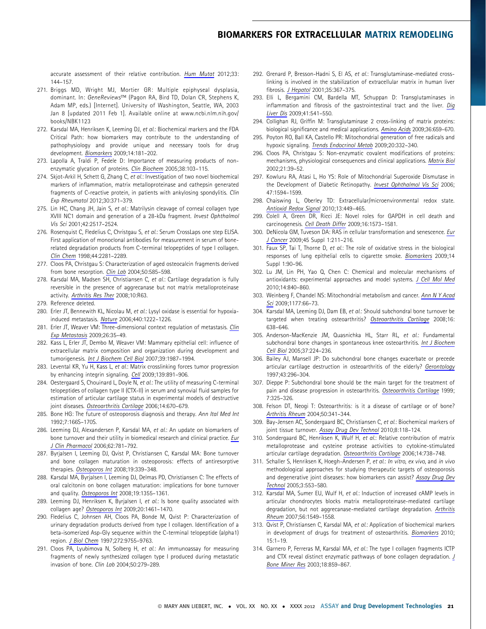accurate assessment of their relative contribution. Hum Mutat 2012;33: 144–157.

- 271. Briggs MD, Wright MJ, Mortier GR: Multiple epiphyseal dysplasia, dominant. In: GeneReviews™ (Pagon RA, Bird TD, Dolan CR, Stephens K, Adam MP, eds.) [Internet]. University of Washington, Seattle, WA, 2003 Jan 8 [updated 2011 Feb 1]. Available online at www.ncbi.nlm.nih.gov/ books/NBK1123
- 272. Karsdal MA, Henriksen K, Leeming DJ, et al.: Biochemical markers and the FDA Critical Path: how biomarkers may contribute to the understanding of pathophysiology and provide unique and necessary tools for drug development. Biomarkers 2009;14:181–202.
- 273. Lapolla A, Traldi P, Fedele D: Importance of measuring products of nonenzymatic glycation of proteins. Clin Biochem 2005;38:103–115.
- 274. Skjot-Arkil H, Schett G, Zhang C, et al.: Investigation of two novel biochemical markers of inflammation, matrix metalloproteinase and cathepsin generated fragments of C-reactive protein, in patients with ankylosing spondylitis. Clin Exp Rheumatol 2012;30:371–379.
- 275. Lin HC, Chang JH, Jain S, et al.: Matrilysin cleavage of corneal collagen type XVIII NC1 domain and generation of a 28-kDa fragment. Invest Ophthalmol Vis Sci 2001;42:2517–2524.
- 276. Rosenquist C, Fledelius C, Christgau S, et al.: Serum CrossLaps one step ELISA. First application of monoclonal antibodies for measurement in serum of bonerelated degradation products from C-terminal telopeptides of type I collagen. Clin Chem 1998;44:2281–2289.
- 277. Cloos PA, Christgau S: Characterization of aged osteocalcin fragments derived from bone resorption. Clin Lab 2004;50:585-598.
- 278. Karsdal MA, Madsen SH, Christiansen C, et al.: Cartilage degradation is fully reversible in the presence of aggrecanase but not matrix metalloproteinase activity. Arthritis Res Ther 2008;10:R63.
- 279. Reference deleted.
- 280. Erler JT, Bennewith KL, Nicolau M, et al.: Lysyl oxidase is essential for hypoxiainduced metastasis. Nature 2006;440:1222–1226.
- 281. Erler JT, Weaver VM: Three-dimensional context regulation of metastasis. Clin Exp Metastasis 2009;26:35–49.
- 282. Kass L, Erler JT, Dembo M, Weaver VM: Mammary epithelial cell: influence of extracellular matrix composition and organization during development and tumorigenesis. Int J Biochem Cell Biol 2007;39:1987–1994.
- 283. Levental KR, Yu H, Kass L, et al.: Matrix crosslinking forces tumor progression by enhancing integrin signaling. Cell 2009;139:891-906.
- 284. Oestergaard S, Chouinard L, Doyle N, et al.: The utility of measuring C-terminal telopeptides of collagen type II (CTX-II) in serum and synovial fluid samples for estimation of articular cartilage status in experimental models of destructive joint diseases. Osteoarthritis Cartilage 2006;14:670-679.
- 285. Bone HG: The future of osteoporosis diagnosis and therapy. Ann Ital Med Int 1992;7:166S–170S.
- 286. Leeming DJ, Alexandersen P, Karsdal MA, et al.: An update on biomarkers of bone turnover and their utility in biomedical research and clinical practice. Eur J Clin Pharmacol 2006;62:781–792.
- 287. Byrjalsen I, Leeming DJ, Qvist P, Christiansen C, Karsdal MA: Bone turnover and bone collagen maturation in osteoporosis: effects of antiresorptive therapies. Osteoporos Int 2008;19:339–348.
- 288. Karsdal MA, Byrjalsen I, Leeming DJ, Delmas PD, Christiansen C: The effects of oral calcitonin on bone collagen maturation: implications for bone turnover and quality. Osteoporos Int 2008;19:1355-1361.
- 289. Leeming DJ, Henriksen K, Byrjalsen I, et al.: Is bone quality associated with collagen age? Osteoporos Int 2009;20:1461–1470.
- 290. Fledelius C, Johnsen AH, Cloos PA, Bonde M, Qvist P: Characterization of urinary degradation products derived from type I collagen. Identification of a beta-isomerized Asp-Gly sequence within the C-terminal telopeptide (alpha1) region. J Biol Chem 1997;272:9755–9763.
- 291. Cloos PA, Lyubimova N, Solberg H, et al.: An immunoassay for measuring fragments of newly synthesized collagen type I produced during metastatic invasion of bone. Clin Lab 2004;50:279–289.
- 292. Grenard P, Bresson-Hadni S, El AS, et al.: Transglutaminase-mediated crosslinking is involved in the stabilization of extracellular matrix in human liver fibrosis. J Hepatol 2001;35:367–375.
- 293. Elli L, Bergamini CM, Bardella MT, Schuppan D: Transglutaminases in inflammation and fibrosis of the gastrointestinal tract and the liver. Dig Liver Dis 2009;41:541–550.
- 294. Collighan RJ, Griffin M: Transglutaminase 2 cross-linking of matrix proteins: biological significance and medical applications. Amino Acids 2009;36:659-670.
- 295. Poyton RO, Ball KA, Castello PR: Mitochondrial generation of free radicals and hypoxic signaling. Trends Endocrinol Metab 2009;20:332–340.
- 296. Cloos PA, Christgau S: Non-enzymatic covalent modifications of proteins: mechanisms, physiological consequences and clinical applications. Matrix Biol 2002;21:39–52.
- 297. Kowluru RA, Atasi L, Ho YS: Role of Mitochondrial Superoxide Dismutase in the Development of Diabetic Retinopathy. Invest Ophthalmol Vis Sci 2006; 47:1594–1599.
- 298. Chaiswing L, Oberley TD: Extracellular/microenvironmental redox state. Antioxid Redox Signal 2010;13:449–465.
- 299. Colell A, Green DR, Ricci JE: Novel roles for GAPDH in cell death and carcinogenesis. Cell Death Differ 2009;16:1573–1581.
- 300. DeNicola GM, Tuveson DA: RAS in cellular transformation and senescence. Eur J Cancer 2009;45 Suppl 1:211–216.
- 301. Faux SP, Tai T, Thorne D, et al.: The role of oxidative stress in the biological responses of lung epithelial cells to cigarette smoke. Biomarkers 2009;14 Suppl 1:90–96.
- 302. Lu JM, Lin PH, Yao Q, Chen C: Chemical and molecular mechanisms of antioxidants: experimental approaches and model systems. J Cell Mol Med 2010;14:840–860.
- 303. Weinberg F, Chandel NS: Mitochondrial metabolism and cancer. Ann N Y Acad Sci 2009;1177:66–73.
- 304. Karsdal MA, Leeming DJ, Dam EB, et al.: Should subchondral bone turnover be targeted when treating osteoarthritis? Osteoarthritis Cartilage 2008;16: 638–646.
- 305. Anderson-MacKenzie JM, Quasnichka HL, Starr RL, et al.: Fundamental subchondral bone changes in spontaneous knee osteoarthritis. Int J Biochem Cell Biol 2005;37:224–236.
- 306. Bailey AJ, Mansell JP: Do subchondral bone changes exacerbate or precede articular cartilage destruction in osteoarthritis of the elderly? Gerontology 1997;43:296–304.
- 307. Dieppe P: Subchondral bone should be the main target for the treatment of pain and disease progression in osteoarthritis. Osteoarthritis Cartilage 1999; 7:325–326.
- 308. Felson DT, Neogi T: Osteoarthritis: is it a disease of cartilage or of bone? Arthritis Rheum 2004;50:341–344.
- 309. Bay-Jensen AC, Sondergaard BC, Christiansen C, et al.: Biochemical markers of joint tissue turnover. Assay Drug Dev Technol 2010;8:118-124.
- 310. Sondergaard BC, Henriksen K, Wulf H, et al.: Relative contribution of matrix metalloprotease and cysteine protease activities to cytokine-stimulated articular cartilage degradation. Osteoarthritis Cartilage 2006;14:738-748.
- 311. Schaller S, Henriksen K, Hoegh-Andersen P, et al.: In vitro, ex vivo, and in vivo methodological approaches for studying therapeutic targets of osteoporosis and degenerative joint diseases: how biomarkers can assist? Assay Drug Dev Technol 2005;3:553–580.
- 312. Karsdal MA, Sumer EU, Wulf H, et al.: Induction of increased cAMP levels in articular chondrocytes blocks matrix metalloproteinase-mediated cartilage degradation, but not aggrecanase-mediated cartilage degradation. Arthritis Rheum 2007;56:1549–1558.
- 313. Qvist P, Christiansen C, Karsdal MA, et al.: Application of biochemical markers in development of drugs for treatment of osteoarthritis. Biomarkers 2010; 15:1–19.
- 314. Garnero P, Ferreras M, Karsdal MA, et al.: The type I collagen fragments ICTP and CTX reveal distinct enzymatic pathways of bone collagen degradation. J Bone Miner Res 2003;18:859–867.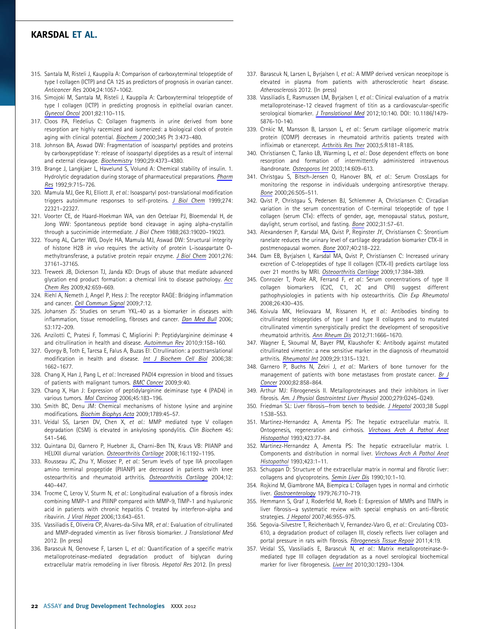- 315. Santala M, Risteli J, Kauppila A: Comparison of carboxyterminal telopeptide of type I collagen (ICTP) and CA 125 as predictors of prognosis in ovarian cancer. Anticancer Res 2004;24:1057–1062.
- 316. Simojoki M, Santala M, Risteli J, Kauppila A: Carboxyterminal telopeptide of type I collagen (ICTP) in predicting prognosis in epithelial ovarian cancer. Gynecol Oncol 2001;82:110–115.
- 317. Cloos PA, Fledelius C: Collagen fragments in urine derived from bone resorption are highly racemized and isomerized: a biological clock of protein aging with clinical potential. Biochem J 2000;345 Pt 3:473-480.
- 318. Johnson BA, Aswad DW: Fragmentation of isoaspartyl peptides and proteins by carboxypeptidase Y: release of isoaspartyl dipeptides as a result of internal and external cleavage. Biochemistry 1990;29:4373–4380.
- 319. Brange J, Langkjaer L, Havelund S, Volund A: Chemical stability of insulin. 1. Hydrolytic degradation during storage of pharmaceutical preparations. Pharm Res 1992;9:715–726.
- 320. Mamula MJ, Gee RJ, Elliott JI, et al.: Isoaspartyl post-translational modification triggers autoimmune responses to self-proteins. J Biol Chem 1999;274: 22321–22327.
- 321. Voorter CE, de Haard-Hoekman WA, van den Oetelaar PJ, Bloemendal H, de Jong WW: Spontaneous peptide bond cleavage in aging alpha-crystallin through a succinimide intermediate. J Biol Chem 1988;263:19020–19023.
- 322. Young AL, Carter WG, Doyle HA, Mamula MJ, Aswad DW: Structural integrity of histone H2B in vivo requires the activity of protein L-isoaspartate Omethyltransferase, a putative protein repair enzyme. J Biol Chem 2001;276: 37161–37165.
- 323. Treweek JB, Dickerson TJ, Janda KD: Drugs of abuse that mediate advanced glycation end product formation: a chemical link to disease pathology. Acc Chem Res 2009;42:659–669.
- 324. Riehl A, Nemeth J, Angel P, Hess J: The receptor RAGE: Bridging inflammation and cancer. Cell Commun Signal 2009;7:12.
- 325. Johansen JS: Studies on serum YKL-40 as a biomarker in diseases with inflammation, tissue remodelling, fibroses and cancer. Dan Med Bull 2006; 53:172–209.
- 326. Anzilotti C, Pratesi F, Tommasi C, Migliorini P: Peptidylarginine deiminase 4 and citrullination in health and disease. Autoimmun Rev 2010;9:158–160.
- 327. Gyorgy B, Toth E, Tarcsa E, Falus A, Buzas EI: Citrullination: a posttranslational modification in health and disease. Int J Biochem Cell Biol 2006;38: 1662–1677.
- 328. Chang X, Han J, Pang L, et al.: Increased PADI4 expression in blood and tissues of patients with malignant tumors. BMC Cancer 2009;9:40.
- 329. Chang X, Han J: Expression of peptidylarginine deiminase type 4 (PAD4) in various tumors. Mol Carcinog 2006;45:183–196.
- 330. Smith BC, Denu JM: Chemical mechanisms of histone lysine and arginine modifications. Biochim Biophys Acta 2009;1789:45–57.
- 331. Veidal SS, Larsen DV, Chen X, et al.: MMP mediated type V collagen degradation (C5M) is elevated in ankylosing spondylitis. Clin Biochem 45: 541–546.
- 332. Quintana DJ, Garnero P, Huebner JL, Charni-Ben TN, Kraus VB: PIIANP and HELIXII diurnal variation. Osteoarthritis Cartilage 2008;16:1192–1195.
- 333. Rousseau JC, Zhu Y, Miossec P, et al.: Serum levels of type IIA procollagen amino terminal propeptide (PIIANP) are decreased in patients with knee osteoarthritis and rheumatoid arthritis. Osteoarthritis Cartilage 2004;12: 440–447.
- 334. Trocme C, Leroy V, Sturm N, et al.: Longitudinal evaluation of a fibrosis index combining MMP-1 and PIIINP compared with MMP-9, TIMP-1 and hyaluronic acid in patients with chronic hepatitis C treated by interferon-alpha and ribavirin. J Viral Hepat 2006;13:643–651.
- 335. Vassiliadis E, Oliveira CP, Alvares-da-Silva MR, et al.: Evaluation of citrullinated and MMP-degraded vimentin as liver fibrosis biomarker. J Translational Med 2012. (In press)
- 336. Barascuk N, Genovese F, Larsen L, et al.: Quantification of a specific matrix metalloproteinase-mediated degradation product of biglycan during extracellular matrix remodeling in liver fibrosis. Hepatol Res 2012. (In press)
- 337. Barascuk N, Larsen L, Byrjalsen I, et al.: A MMP derived versican neoepitope is elevated in plasma from patients with atherosclerotic heart disease. Atherosclerosis 2012. (In press)
- 338. Vassiliadis E, Rasmussen LM, Byrjalsen I, et al.: Clinical evaluation of a matrix metalloproteinase-12 cleaved fragment of titin as a cardiovascular-specific serological biomarker. J Translational Med 2012;10:140. DOI: 10.1186/1479- 5876-10-140.
- 339. Crnkic M, Mansson B, Larsson L, et al.: Serum cartilage oligomeric matrix protein (COMP) decreases in rheumatoid arthritis patients treated with infliximab or etanercept. Arthritis Res Ther 2003;5:R181–R185.
- 340. Christiansen C, Tanko LB, Warming L, et al.: Dose dependent effects on bone resorption and formation of intermittently administered intravenous ibandronate. Osteoporos Int 2003;14:609-613.
- 341. Christgau S, Bitsch-Jensen O, Hanover BN, et al.: Serum CrossLaps for monitoring the response in individuals undergoing antiresorptive therapy. Bone 2000;26:505–511.
- 342. Qvist P, Christgau S, Pedersen BJ, Schlemmer A, Christiansen C: Circadian variation in the serum concentration of C-terminal telopeptide of type I collagen (serum CTx): effects of gender, age, menopausal status, posture, daylight, serum cortisol, and fasting. Bone 2002;31:57–61.
- 343. Alexandersen P, Karsdal MA, Qvist P, Reginster JY, Christiansen C: Strontium ranelate reduces the urinary level of cartilage degradation biomarker CTX-II in postmenopausal women. Bone 2007;40:218–222.
- 344. Dam EB, Byrjalsen I, Karsdal MA, Qvist P, Christiansen C: Increased urinary excretion of C-telopeptides of type II collagen (CTX-II) predicts cartilage loss over 21 months by MRI. Osteoarthritis Cartilage 2009;17:384-389.
- 345. Conrozier T, Poole AR, Ferrand F, et al.: Serum concentrations of type II collagen biomarkers (C2C, C1, 2C and CPII) suggest different pathophysiologies in patients with hip osteoarthritis. Clin Exp Rheumatol 2008;26:430–435.
- 346. Koivula MK, Heliovaara M, Rissanen H, et al.: Antibodies binding to citrullinated telopeptides of type I and type II collagens and to mutated citrullinated vimentin synergistically predict the development of seropositive rheumatoid arthritis. Ann Rheum Dis 2012;71:1666–1670.
- 347. Wagner E, Skoumal M, Bayer PM, Klaushofer K: Antibody against mutated citrullinated vimentin: a new sensitive marker in the diagnosis of rheumatoid arthritis. Rheumatol Int 2009;29:1315–1321.
- 348. Garnero P, Buchs N, Zekri J, et al.: Markers of bone turnover for the management of patients with bone metastases from prostate cancer. Br J Cancer 2000;82:858–864.
- 349. Arthur MJ: Fibrogenesis II. Metalloproteinases and their inhibitors in liver fibrosis. Am. J Physiol Gastrointest Liver Physiol 2000;279:G245–G249.
- 350. Friedman SL: Liver fibrosis-from bench to bedside. *J Hepatol* 2003;38 Suppl 1:S38–S53.
- 351. Martinez-Hernandez A, Amenta PS: The hepatic extracellular matrix. II. Ontogenesis, regeneration and cirrhosis. Virchows Arch A Pathol Anat Histopathol 1993;423:77–84.
- 352. Martinez-Hernandez A, Amenta PS: The hepatic extracellular matrix. I. Components and distribution in normal liver. *Virchows Arch A Pathol Anat* Histopathol 1993;423:1–11.
- 353. Schuppan D: Structure of the extracellular matrix in normal and fibrotic liver: collagens and glycoproteins. Semin Liver Dis 1990;10:1–10.
- 354. Rojkind M, Giambrone MA, Biempica L: Collagen types in normal and cirrhotic liver. Gastroenterology 1979;76:710–719.
- 355. Hemmann S, Graf J, Roderfeld M, Roeb E: Expression of MMPs and TIMPs in liver fibrosis—a systematic review with special emphasis on anti-fibrotic strategies. J Hepatol 2007;46:955-975.
- 356. Segovia-Silvestre T, Reichenbach V, Fernandez-Varo G, et al.: Circulating CO3- 610, a degradation product of collagen III, closely reflects liver collagen and portal pressure in rats with fibrosis. Fibrogenesis Tissue Repair 2011;4:19.
- 357. Veidal SS, Vassiliadis E, Barascuk N, et al.: Matrix metalloproteinase-9mediated type III collagen degradation as a novel serological biochemical marker for liver fibrogenesis. Liver Int 2010;30:1293–1304.